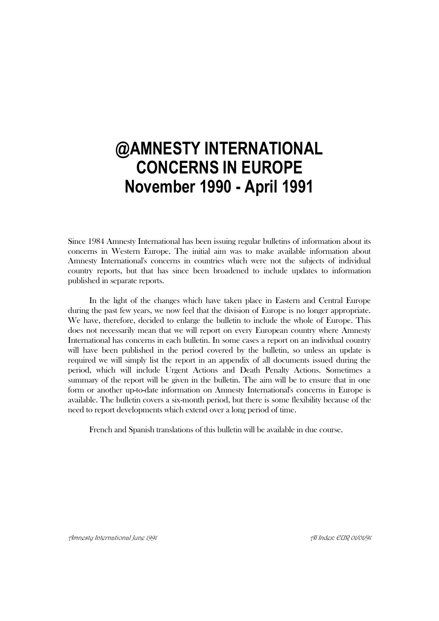# **@AMNESTY INTERNATIONAL CONCERNS IN EUROPE November 1990 - April 1991**

Since 1984 Amnesty International has been issuing regular bulletins of information about its concerns in Western Europe. The initial aim was to make available information about Amnesty International's concerns in countries which were not the subjects of individual country reports, but that has since been broadened to include updates to information published in separate reports.

In the light of the changes which have taken place in Eastern and Central Europe during the past few years, we now feel that the division of Europe is no longer appropriate. We have, therefore, decided to enlarge the bulletin to include the whole of Europe. This does not necessarily mean that we will report on every European country where Amnesty International has concerns in each bulletin. In some cases a report on an individual country will have been published in the period covered by the bulletin, so unless an update is required we will simply list the report in an appendix of all documents issued during the period, which will include Urgent Actions and Death Penalty Actions. Sometimes a summary of the report will be given in the bulletin. The aim will be to ensure that in one form or another up-to-date information on Amnesty International's concerns in Europe is available. The bulletin covers a six-month period, but there is some flexibility because of the need to report developments which extend over a long period of time.

French and Spanish translations of this bulletin will be available in due course.

Amnesty International June 1991 AI Index: EUR 01/01/91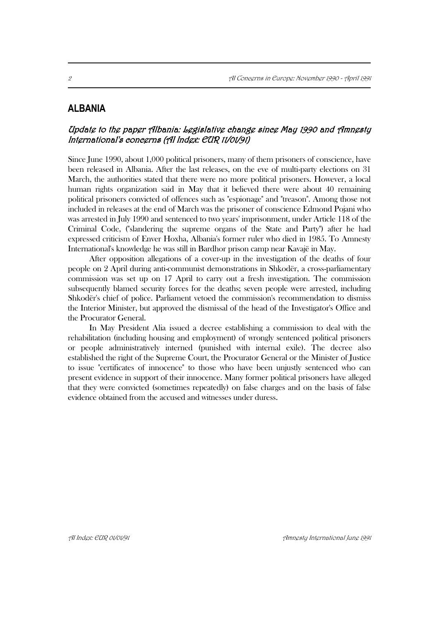# **ALBANIA**

# Update to the paper Albania: Legislative change since May 1990 and Amnesty International's concerns (AI Index: EUR 11/01/91)

Since June 1990, about 1,000 political prisoners, many of them prisoners of conscience, have been released in Albania. After the last releases, on the eve of multi-party elections on 31 March, the authorities stated that there were no more political prisoners. However, a local human rights organization said in May that it believed there were about 40 remaining political prisoners convicted of offences such as "espionage" and "treason". Among those not included in releases at the end of March was the prisoner of conscience Edmond Pojani who was arrested in July 1990 and sentenced to two years' imprisonment, under Article 118 of the Criminal Code, ("slandering the supreme organs of the State and Party") after he had expressed criticism of Enver Hoxha, Albania's former ruler who died in 1985. To Amnesty International's knowledge he was still in Bardhor prison camp near Kavajë in May.

After opposition allegations of a cover-up in the investigation of the deaths of four people on 2 April during anti-communist demonstrations in Shkodër, a cross-parliamentary commission was set up on 17 April to carry out a fresh investigation. The commission subsequently blamed security forces for the deaths; seven people were arrested, including Shkodër's chief of police. Parliament vetoed the commission's recommendation to dismiss the Interior Minister, but approved the dismissal of the head of the Investigator's Office and the Procurator General.

In May President Alia issued a decree establishing a commission to deal with the rehabilitation (including housing and employment) of wrongly sentenced political prisoners or people administratively interned (punished with internal exile). The decree also established the right of the Supreme Court, the Procurator General or the Minister of Justice to issue "certificates of innocence" to those who have been unjustly sentenced who can present evidence in support of their innocence. Many former political prisoners have alleged that they were convicted (sometimes repeatedly) on false charges and on the basis of false evidence obtained from the accused and witnesses under duress.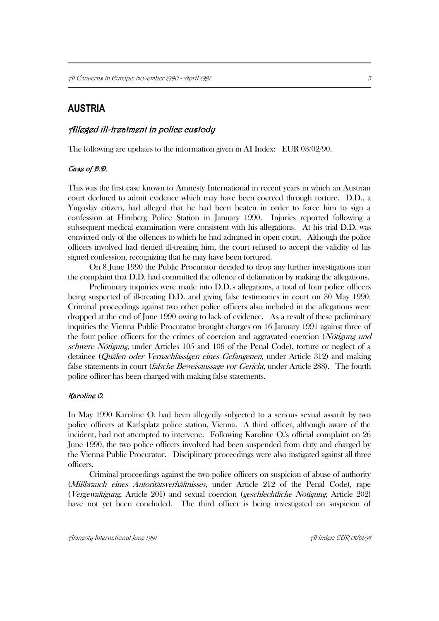# **AUSTRIA**

### Alleged ill-treatment in police custody

The following are updates to the information given in AI Index: EUR 03/02/90.

#### Case of D.D.

This was the first case known to Amnesty International in recent years in which an Austrian court declined to admit evidence which may have been coerced through torture. D.D., a Yugoslav citizen, had alleged that he had been beaten in order to force him to sign a confession at Himberg Police Station in January 1990. Injuries reported following a subsequent medical examination were consistent with his allegations. At his trial D.D. was convicted only of the offences to which he had admitted in open court. Although the police officers involved had denied ill-treating him, the court refused to accept the validity of his signed confession, recognizing that he may have been tortured.

On 8 June 1990 the Public Procurator decided to drop any further investigations into the complaint that D.D. had committed the offence of defamation by making the allegations.

Preliminary inquiries were made into D.D.'s allegations, a total of four police officers being suspected of ill-treating D.D. and giving false testimonies in court on 30 May 1990. Criminal proceedings against two other police officers also included in the allegations were dropped at the end of June 1990 owing to lack of evidence. As a result of these preliminary inquiries the Vienna Public Procurator brought charges on 16 January 1991 against three of the four police officers for the crimes of coercion and aggravated coercion (Nötigung und schwere Nötigung, under Articles 105 and 106 of the Penal Code), torture or neglect of a detainee (Quälen oder Vernachlässigen eines Gefangenen, under Article 312) and making false statements in court *(falsche Beweisaussage vor Gericht*, under Article 288). The fourth police officer has been charged with making false statements.

#### Karoline O.

In May 1990 Karoline O. had been allegedly subjected to a serious sexual assault by two police officers at Karlsplatz police station, Vienna. A third officer, although aware of the incident, had not attempted to intervene. Following Karoline O.'s official complaint on 26 June 1990, the two police officers involved had been suspended from duty and charged by the Vienna Public Procurator. Disciplinary proceedings were also instigated against all three officers.

Criminal proceedings against the two police officers on suspicion of abuse of authority (Mißbrauch eines Autoritätsverhältnisses, under Article 212 of the Penal Code), rape (Vergewaltigung, Article 201) and sexual coercion (geschlechtliche Nötigung, Article 202) have not yet been concluded. The third officer is being investigated on suspicion of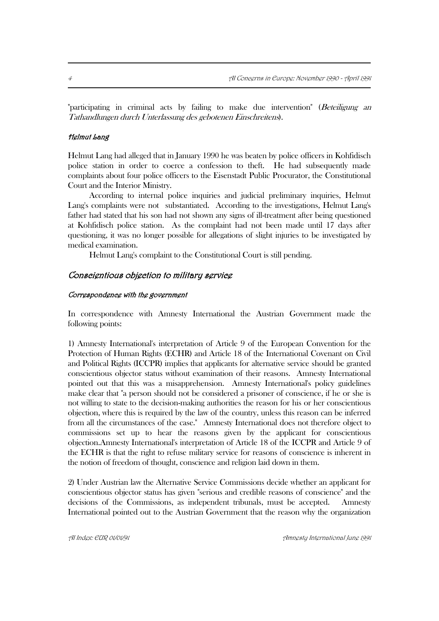"participating in criminal acts by failing to make due intervention" (Beteiligung an Tathandlungen durch Unterlassung des gebotenen Einschreitens).

#### Helmut Lang

Helmut Lang had alleged that in January 1990 he was beaten by police officers in Kohfidisch police station in order to coerce a confession to theft. He had subsequently made complaints about four police officers to the Eisenstadt Public Procurator, the Constitutional Court and the Interior Ministry.

According to internal police inquiries and judicial preliminary inquiries, Helmut Lang's complaints were not substantiated. According to the investigations, Helmut Lang's father had stated that his son had not shown any signs of ill-treatment after being questioned at Kohfidisch police station. As the complaint had not been made until 17 days after questioning, it was no longer possible for allegations of slight injuries to be investigated by medical examination.

Helmut Lang's complaint to the Constitutional Court is still pending.

#### Conscientious objection to military service

#### Correspondence with the government

In correspondence with Amnesty International the Austrian Government made the following points:

1) Amnesty International's interpretation of Article 9 of the European Convention for the Protection of Human Rights (ECHR) and Article 18 of the International Covenant on Civil and Political Rights (ICCPR) implies that applicants for alternative service should be granted conscientious objector status without examination of their reasons. Amnesty International pointed out that this was a misapprehension. Amnesty International's policy guidelines make clear that "a person should not be considered a prisoner of conscience, if he or she is not willing to state to the decision-making authorities the reason for his or her conscientious objection, where this is required by the law of the country, unless this reason can be inferred from all the circumstances of the case." Amnesty International does not therefore object to commissions set up to hear the reasons given by the applicant for conscientious objection.Amnesty International's interpretation of Article 18 of the ICCPR and Article 9 of the ECHR is that the right to refuse military service for reasons of conscience is inherent in the notion of freedom of thought, conscience and religion laid down in them.

2) Under Austrian law the Alternative Service Commissions decide whether an applicant for conscientious objector status has given "serious and credible reasons of conscience" and the decisions of the Commissions, as independent tribunals, must be accepted. Amnesty International pointed out to the Austrian Government that the reason why the organization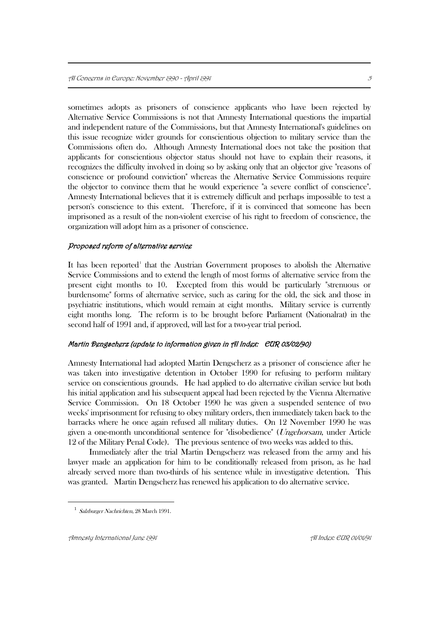sometimes adopts as prisoners of conscience applicants who have been rejected by Alternative Service Commissions is not that Amnesty International questions the impartial and independent nature of the Commissions, but that Amnesty International's guidelines on this issue recognize wider grounds for conscientious objection to military service than the Commissions often do. Although Amnesty International does not take the position that applicants for conscientious objector status should not have to explain their reasons, it recognizes the difficulty involved in doing so by asking only that an objector give "reasons of conscience or profound conviction" whereas the Alternative Service Commissions require the objector to convince them that he would experience "a severe conflict of conscience". Amnesty International believes that it is extremely difficult and perhaps impossible to test a person's conscience to this extent. Therefore, if it is convinced that someone has been imprisoned as a result of the non-violent exercise of his right to freedom of conscience, the organization will adopt him as a prisoner of conscience.

#### Proposed reform of alternative service

It has been reported<sup>1</sup> that the Austrian Government proposes to abolish the Alternative Service Commissions and to extend the length of most forms of alternative service from the present eight months to 10. Excepted from this would be particularly "strenuous or burdensome" forms of alternative service, such as caring for the old, the sick and those in psychiatric institutions, which would remain at eight months. Military service is currently eight months long. The reform is to be brought before Parliament (Nationalrat) in the second half of 1991 and, if approved, will last for a two-year trial period.

#### Martin Dengscherz (update to information given in AI Index: EUR 03/02/90)

Amnesty International had adopted Martin Dengscherz as a prisoner of conscience after he was taken into investigative detention in October 1990 for refusing to perform military service on conscientious grounds. He had applied to do alternative civilian service but both his initial application and his subsequent appeal had been rejected by the Vienna Alternative Service Commission. On 18 October 1990 he was given a suspended sentence of two weeks' imprisonment for refusing to obey military orders, then immediately taken back to the barracks where he once again refused all military duties. On 12 November 1990 he was given a one-month unconditional sentence for "disobedience" (Ungehorsam, under Article 12 of the Military Penal Code). The previous sentence of two weeks was added to this.

Immediately after the trial Martin Dengscherz was released from the army and his lawyer made an application for him to be conditionally released from prison, as he had already served more than two-thirds of his sentence while in investigative detention. This was granted. Martin Dengscherz has renewed his application to do alternative service.

 $\overline{a}$ 

<sup>&</sup>lt;sup>1</sup> Salzburger Nachrichten, 28 March 1991.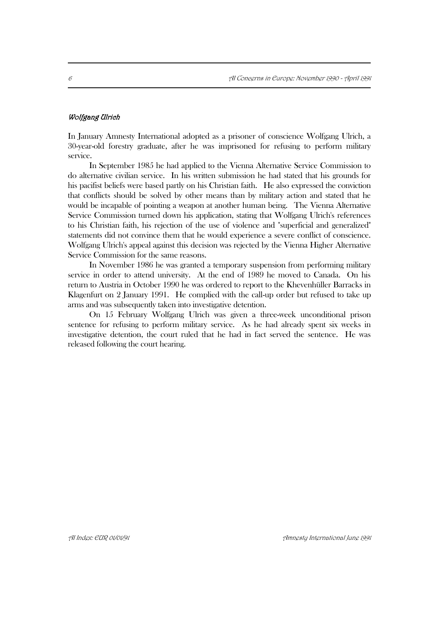#### Wolfgang Ulrich

In January Amnesty International adopted as a prisoner of conscience Wolfgang Ulrich, a 30-year-old forestry graduate, after he was imprisoned for refusing to perform military service.

In September 1985 he had applied to the Vienna Alternative Service Commission to do alternative civilian service. In his written submission he had stated that his grounds for his pacifist beliefs were based partly on his Christian faith. He also expressed the conviction that conflicts should be solved by other means than by military action and stated that he would be incapable of pointing a weapon at another human being. The Vienna Alternative Service Commission turned down his application, stating that Wolfgang Ulrich's references to his Christian faith, his rejection of the use of violence and "superficial and generalized" statements did not convince them that he would experience a severe conflict of conscience. Wolfgang Ulrich's appeal against this decision was rejected by the Vienna Higher Alternative Service Commission for the same reasons.

In November 1986 he was granted a temporary suspension from performing military service in order to attend university. At the end of 1989 he moved to Canada. On his return to Austria in October 1990 he was ordered to report to the Khevenhüller Barracks in Klagenfurt on 2 January 1991. He complied with the call-up order but refused to take up arms and was subsequently taken into investigative detention.

On 15 February Wolfgang Ulrich was given a three-week unconditional prison sentence for refusing to perform military service. As he had already spent six weeks in investigative detention, the court ruled that he had in fact served the sentence. He was released following the court hearing.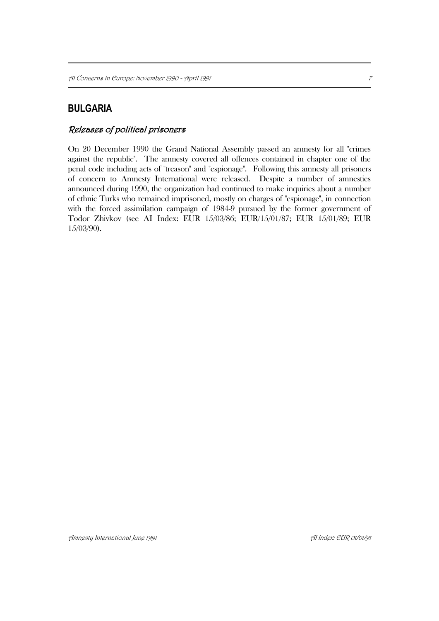# **BULGARIA**

# Releases of political prisoners

On 20 December 1990 the Grand National Assembly passed an amnesty for all "crimes against the republic". The amnesty covered all offences contained in chapter one of the penal code including acts of "treason" and "espionage". Following this amnesty all prisoners of concern to Amnesty International were released. Despite a number of amnesties announced during 1990, the organization had continued to make inquiries about a number of ethnic Turks who remained imprisoned, mostly on charges of "espionage", in connection with the forced assimilation campaign of 1984-9 pursued by the former government of Todor Zhivkov (see AI Index: EUR 15/03/86; EUR/15/01/87; EUR 15/01/89; EUR 15/03/90).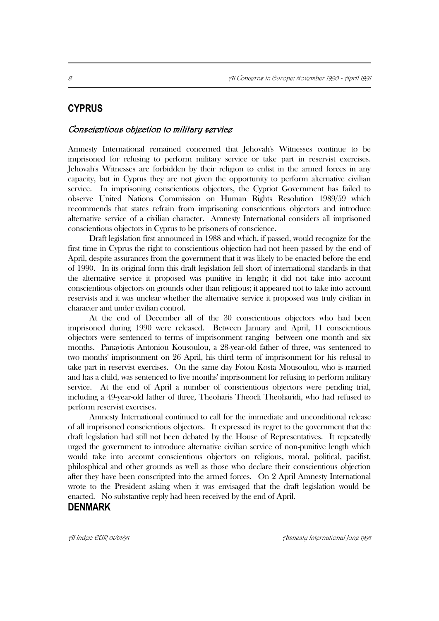# **CYPRUS**

#### Conscientious objection to military service

Amnesty International remained concerned that Jehovah's Witnesses continue to be imprisoned for refusing to perform military service or take part in reservist exercises. Jehovah's Witnesses are forbidden by their religion to enlist in the armed forces in any capacity, but in Cyprus they are not given the opportunity to perform alternative civilian service. In imprisoning conscientious objectors, the Cypriot Government has failed to observe United Nations Commission on Human Rights Resolution 1989/59 which recommends that states refrain from imprisoning conscientious objectors and introduce alternative service of a civilian character. Amnesty International considers all imprisoned conscientious objectors in Cyprus to be prisoners of conscience.

Draft legislation first announced in 1988 and which, if passed, would recognize for the first time in Cyprus the right to conscientious objection had not been passed by the end of April, despite assurances from the government that it was likely to be enacted before the end of 1990. In its original form this draft legislation fell short of international standards in that the alternative service it proposed was punitive in length; it did not take into account conscientious objectors on grounds other than religious; it appeared not to take into account reservists and it was unclear whether the alternative service it proposed was truly civilian in character and under civilian control.

At the end of December all of the 30 conscientious objectors who had been imprisoned during 1990 were released. Between January and April, 11 conscientious objectors were sentenced to terms of imprisonment ranging between one month and six months. Panayiotis Antoniou Kousoulou, a 28-year-old father of three, was sentenced to two months' imprisonment on 26 April, his third term of imprisonment for his refusal to take part in reservist exercises. On the same day Fotou Kosta Mousoulou, who is married and has a child, was sentenced to five months' imprisonment for refusing to perform military service. At the end of April a number of conscientious objectors were pending trial, including a 49-year-old father of three, Theoharis Theocli Theoharidi, who had refused to perform reservist exercises.

Amnesty International continued to call for the immediate and unconditional release of all imprisoned conscientious objectors. It expressed its regret to the government that the draft legislation had still not been debated by the House of Representatives. It repeatedly urged the government to introduce alternative civilian service of non-punitive length which would take into account conscientious objectors on religious, moral, political, pacifist, philosphical and other grounds as well as those who declare their conscientious objection after they have been conscripted into the armed forces. On 2 April Amnesty International wrote to the President asking when it was envisaged that the draft legislation would be enacted. No substantive reply had been received by the end of April.

### **DENMARK**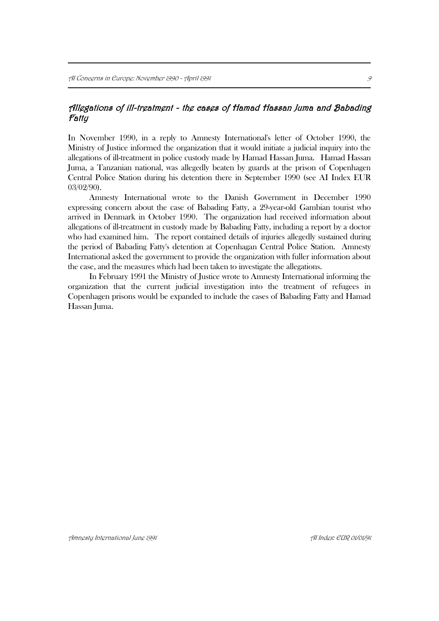# Allegations of ill-treatment - the cases of Hamad Hassan Juma and Babading Fatty

In November 1990, in a reply to Amnesty International's letter of October 1990, the Ministry of Justice informed the organization that it would initiate a judicial inquiry into the allegations of ill-treatment in police custody made by Hamad Hassan Juma. Hamad Hassan Juma, a Tanzanian national, was allegedly beaten by guards at the prison of Copenhagen Central Police Station during his detention there in September 1990 (see AI Index EUR 03/02/90).

Amnesty International wrote to the Danish Government in December 1990 expressing concern about the case of Babading Fatty, a 29-year-old Gambian tourist who arrived in Denmark in October 1990. The organization had received information about allegations of ill-treatment in custody made by Babading Fatty, including a report by a doctor who had examined him. The report contained details of injuries allegedly sustained during the period of Babading Fatty's detention at Copenhagan Central Police Station. Amnesty International asked the government to provide the organization with fuller information about the case, and the measures which had been taken to investigate the allegations.

In February 1991 the Ministry of Justice wrote to Amnesty International informing the organization that the current judicial investigation into the treatment of refugees in Copenhagen prisons would be expanded to include the cases of Babading Fatty and Hamad Hassan Juma.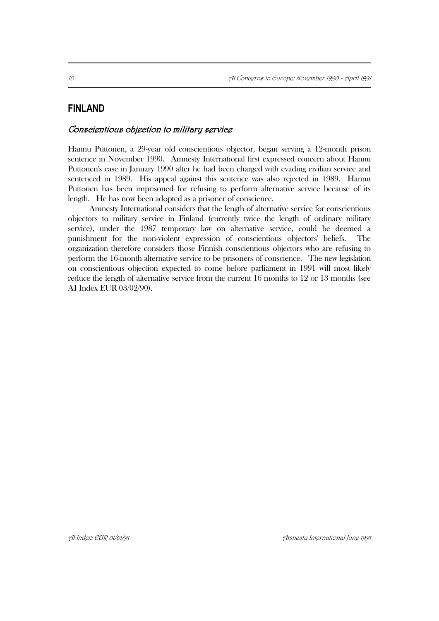# **FINLAND**

### Conscientious objection to military service

Hannu Puttonen, a 29-year old conscientious objector, began serving a 12-month prison sentence in November 1990. Amnesty International first expressed concern about Hannu Puttonen's case in January 1990 after he had been charged with evading civilian service and sentenced in 1989. His appeal against this sentence was also rejected in 1989. Hannu Puttonen has been imprisoned for refusing to perform alternative service because of its length. He has now been adopted as a prisoner of conscience.

Amnesty International considers that the length of alternative service for conscientious objectors to military service in Finland (currently twice the length of ordinary military service), under the 1987 temporary law on alternative service, could be deemed a punishment for the non-violent expression of conscientious objectors' beliefs. The organization therefore considers those Finnish conscientious objectors who are refusing to perform the 16-month alternative service to be prisoners of conscience. The new legislation on conscientious objection expected to come before parliament in 1991 will most likely reduce the length of alternative service from the current 16 months to 12 or 13 months (see AI Index EUR 03/02/90).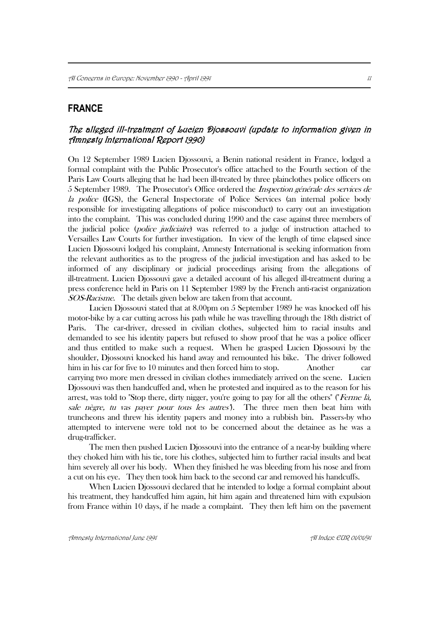# **FRANCE**

# The alleged ill-treatment of Lucien Djossouvi (update to information given in Amnesty International Report 1990)

On 12 September 1989 Lucien Djossouvi, a Benin national resident in France, lodged a formal complaint with the Public Prosecutor's office attached to the Fourth section of the Paris Law Courts alleging that he had been ill-treated by three plainclothes police officers on 5 September 1989. The Prosecutor's Office ordered the Inspection générale des services de la police (IGS), the General Inspectorate of Police Services (an internal police body responsible for investigating allegations of police misconduct) to carry out an investigation into the complaint. This was concluded during 1990 and the case against three members of the judicial police (police judiciaire) was referred to a judge of instruction attached to Versailles Law Courts for further investigation. In view of the length of time elapsed since Lucien Djossouvi lodged his complaint, Amnesty International is seeking information from the relevant authorities as to the progress of the judicial investigation and has asked to be informed of any disciplinary or judicial proceedings arising from the allegations of ill-treatment. Lucien Djossouvi gave a detailed account of his alleged ill-treatment during a press conference held in Paris on 11 September 1989 by the French anti-racist organization SOS-Racisme. The details given below are taken from that account.

Lucien Djossouvi stated that at 8.00pm on 5 September 1989 he was knocked off his motor-bike by a car cutting across his path while he was travelling through the 18th district of Paris. The car-driver, dressed in civilian clothes, subjected him to racial insults and demanded to see his identity papers but refused to show proof that he was a police officer and thus entitled to make such a request. When he grasped Lucien Djossouvi by the shoulder, Djossouvi knocked his hand away and remounted his bike. The driver followed him in his car for five to 10 minutes and then forced him to stop. Another car carrying two more men dressed in civilian clothes immediately arrived on the scene. Lucien Djossouvi was then handcuffed and, when he protested and inquired as to the reason for his arrest, was told to "Stop there, dirty nigger, you're going to pay for all the others" ("Ferme là, sale nègre, tu vas payer pour tous les autres"). The three men then beat him with truncheons and threw his identity papers and money into a rubbish bin. Passers-by who attempted to intervene were told not to be concerned about the detainee as he was a drug-trafficker.

The men then pushed Lucien Djossouvi into the entrance of a near-by building where they choked him with his tie, tore his clothes, subjected him to further racial insults and beat him severely all over his body. When they finished he was bleeding from his nose and from a cut on his eye. They then took him back to the second car and removed his handcuffs.

When Lucien Djossouvi declared that he intended to lodge a formal complaint about his treatment, they handcuffed him again, hit him again and threatened him with expulsion from France within 10 days, if he made a complaint. They then left him on the pavement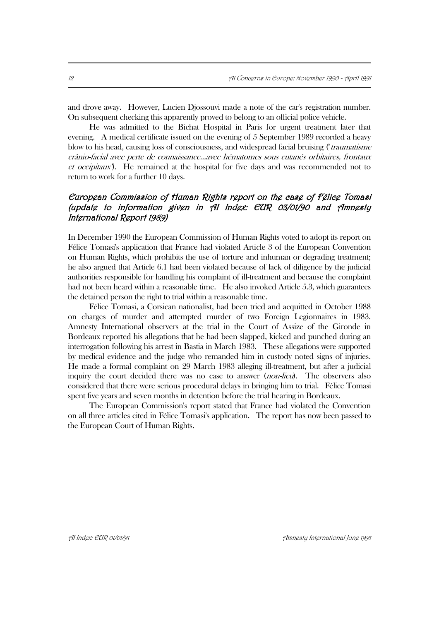and drove away. However, Lucien Djossouvi made a note of the car's registration number. On subsequent checking this apparently proved to belong to an official police vehicle.

He was admitted to the Bichat Hospital in Paris for urgent treatment later that evening. A medical certificate issued on the evening of 5 September 1989 recorded a heavy blow to his head, causing loss of consciousness, and widespread facial bruising ("traumatisme crânio-facial avec perte de connaissance...avec hématomes sous cutanés orbitaires, frontaux et occipitaux"). He remained at the hospital for five days and was recommended not to return to work for a further 10 days.

# European Commission of Human Rights report on the case of Félice Tomasi (update to information given in AI Index: EUR 03/01/90 and Amnesty International Report 1989)

In December 1990 the European Commission of Human Rights voted to adopt its report on Félice Tomasi's application that France had violated Article 3 of the European Convention on Human Rights, which prohibits the use of torture and inhuman or degrading treatment; he also argued that Article 6.1 had been violated because of lack of diligence by the judicial authorities responsible for handling his complaint of ill-treatment and because the complaint had not been heard within a reasonable time. He also invoked Article 5.3, which guarantees the detained person the right to trial within a reasonable time.

Félice Tomasi, a Corsican nationalist, had been tried and acquitted in October 1988 on charges of murder and attempted murder of two Foreign Legionnaires in 1983. Amnesty International observers at the trial in the Court of Assize of the Gironde in Bordeaux reported his allegations that he had been slapped, kicked and punched during an interrogation following his arrest in Bastia in March 1983. These allegations were supported by medical evidence and the judge who remanded him in custody noted signs of injuries. He made a formal complaint on 29 March 1983 alleging ill-treatment, but after a judicial inquiry the court decided there was no case to answer *(non-lieu)*. The observers also considered that there were serious procedural delays in bringing him to trial. Félice Tomasi spent five years and seven months in detention before the trial hearing in Bordeaux.

The European Commission's report stated that France had violated the Convention on all three articles cited in Félice Tomasi's application. The report has now been passed to the European Court of Human Rights.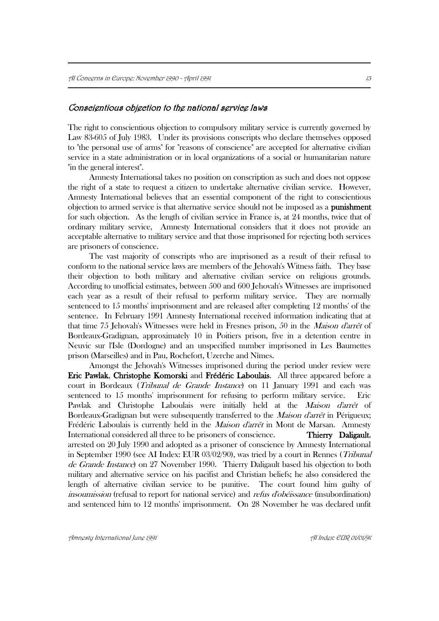#### Conscientious objection to the national service laws

The right to conscientious objection to compulsory military service is currently governed by Law 83-605 of July 1983. Under its provisions conscripts who declare themselves opposed to "the personal use of arms" for "reasons of conscience" are accepted for alternative civilian service in a state administration or in local organizations of a social or humanitarian nature "in the general interest".

Amnesty International takes no position on conscription as such and does not oppose the right of a state to request a citizen to undertake alternative civilian service. However, Amnesty International believes that an essential component of the right to conscientious objection to armed service is that alternative service should not be imposed as a punishment for such objection. As the length of civilian service in France is, at 24 months, twice that of ordinary military service, Amnesty International considers that it does not provide an acceptable alternative to military service and that those imprisoned for rejecting both services are prisoners of conscience.

The vast majority of conscripts who are imprisoned as a result of their refusal to conform to the national service laws are members of the Jehovah's Witness faith. They base their objection to both military and alternative civilian service on religious grounds. According to unofficial estimates, between 500 and 600 Jehovah's Witnesses are imprisoned each year as a result of their refusal to perform military service. They are normally sentenced to 15 months' imprisonment and are released after completing 12 months' of the sentence. In February 1991 Amnesty International received information indicating that at that time 75 Jehovah's Witnesses were held in Fresnes prison, 50 in the Maison d'arrêt of Bordeaux-Gradignan, approximately 10 in Poitiers prison, five in a detention centre in Neuvic sur l'Isle (Dordogne) and an unspecified number imprisoned in Les Baumettes prison (Marseilles) and in Pau, Rochefort, Uzerche and Nîmes.

Amongst the Jehovah's Witnesses imprisoned during the period under review were Eric Pawlak, Christophe Komorski and Frédéric Laboulais. All three appeared before a court in Bordeaux (Tribunal de Grande Instance) on 11 January 1991 and each was sentenced to 15 months' imprisonment for refusing to perform military service. Eric Pawlak and Christophe Laboulais were initially held at the *Maison d'arrêt* of Bordeaux-Gradignan but were subsequently transferred to the *Maison d'arrêt* in Périgueux; Frédéric Laboulais is currently held in the Maison d'arrêt in Mont de Marsan. Amnesty International considered all three to be prisoners of conscience. Thierry Daligault, arrested on 20 July 1990 and adopted as a prisoner of conscience by Amnesty International in September 1990 (see AI Index: EUR 03/02/90), was tried by a court in Rennes (Tribunal de Grande Instance) on 27 November 1990. Thierry Daligault based his objection to both military and alternative service on his pacifist and Christian beliefs; he also considered the length of alternative civilian service to be punitive. The court found him guilty of insoumission (refusal to report for national service) and *refus d'obéissance* (insubordination) and sentenced him to 12 months' imprisonment. On 28 November he was declared unfit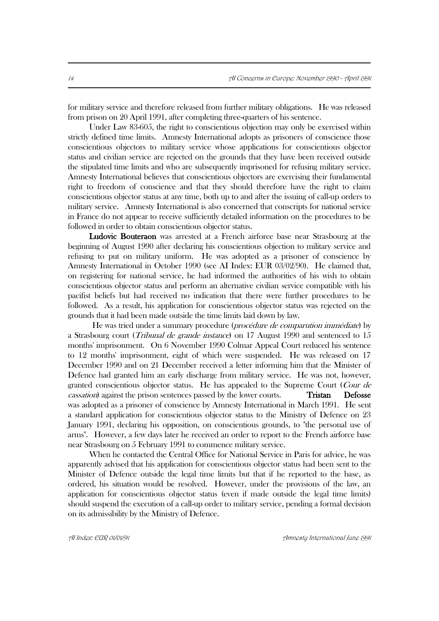for military service and therefore released from further military obligations. He was released from prison on 20 April 1991, after completing three-quarters of his sentence.

Under Law 83-605, the right to conscientious objection may only be exercised within strictly defined time limits. Amnesty International adopts as prisoners of conscience those conscientious objectors to military service whose applications for conscientious objector status and civilian service are rejected on the grounds that they have been received outside the stipulated time limits and who are subsequently imprisoned for refusing military service. Amnesty International believes that conscientious objectors are exercising their fundamental right to freedom of conscience and that they should therefore have the right to claim conscientious objector status at any time, both up to and after the issuing of call-up orders to military service. Amnesty International is also concerned that conscripts for national service in France do not appear to receive sufficiently detailed information on the procedures to be followed in order to obtain conscientious objector status.

 Ludovic Bouteraon was arrested at a French airforce base near Strasbourg at the beginning of August 1990 after declaring his conscientious objection to military service and refusing to put on military uniform. He was adopted as a prisoner of conscience by Amnesty International in October 1990 (see AI Index: EUR 03/02/90). He claimed that, on registering for national service, he had informed the authorities of his wish to obtain conscientious objector status and perform an alternative civilian service compatible with his pacifist beliefs but had received no indication that there were further procedures to be followed. As a result, his application for conscientious objector status was rejected on the grounds that it had been made outside the time limits laid down by law.

He was tried under a summary procedure (procédure de comparution immédiate) by a Strasbourg court (Tribunal de grande instance) on 17 August 1990 and sentenced to 15 months' imprisonment. On 6 November 1990 Colmar Appeal Court reduced his sentence to 12 months' imprisonment, eight of which were suspended. He was released on 17 December 1990 and on 21 December received a letter informing him that the Minister of Defence had granted him an early discharge from military service. He was not, however, granted conscientious objector status. He has appealed to the Supreme Court (Cour de cassation) against the prison sentences passed by the lower courts. Tristan Defosse was adopted as a prisoner of conscience by Amnesty International in March 1991. He sent a standard application for conscientious objector status to the Ministry of Defence on 23 January 1991, declaring his opposition, on conscientious grounds, to "the personal use of arms". However, a few days later he received an order to report to the French airforce base near Strasbourg on 5 February 1991 to commence military service.

When he contacted the Central Office for National Service in Paris for advice, he was apparently advised that his application for conscientious objector status had been sent to the Minister of Defence outside the legal time limits but that if he reported to the base, as ordered, his situation would be resolved. However, under the provisions of the law, an application for conscientious objector status (even if made outside the legal time limits) should suspend the execution of a call-up order to military service, pending a formal decision on its admissibility by the Ministry of Defence.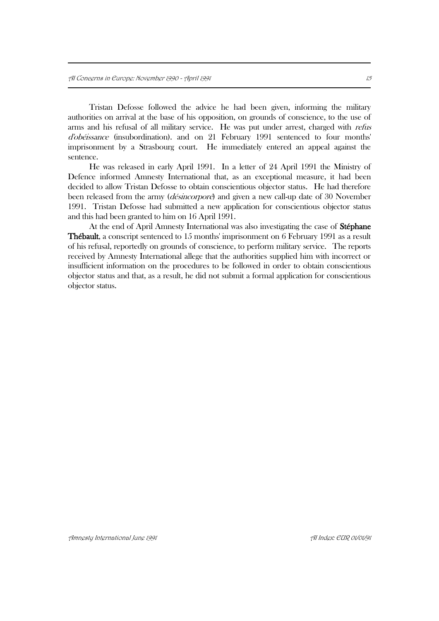Tristan Defosse followed the advice he had been given, informing the military authorities on arrival at the base of his opposition, on grounds of conscience, to the use of arms and his refusal of all military service. He was put under arrest, charged with refus d'obéissance (insubordination). and on 21 February 1991 sentenced to four months' imprisonment by a Strasbourg court. He immediately entered an appeal against the sentence.

He was released in early April 1991. In a letter of 24 April 1991 the Ministry of Defence informed Amnesty International that, as an exceptional measure, it had been decided to allow Tristan Defosse to obtain conscientious objector status. He had therefore been released from the army (désincorporé) and given a new call-up date of 30 November 1991. Tristan Defosse had submitted a new application for conscientious objector status and this had been granted to him on 16 April 1991.

At the end of April Amnesty International was also investigating the case of Stéphane Thébault, a conscript sentenced to 15 months' imprisonment on 6 February 1991 as a result of his refusal, reportedly on grounds of conscience, to perform military service. The reports received by Amnesty International allege that the authorities supplied him with incorrect or insufficient information on the procedures to be followed in order to obtain conscientious objector status and that, as a result, he did not submit a formal application for conscientious objector status.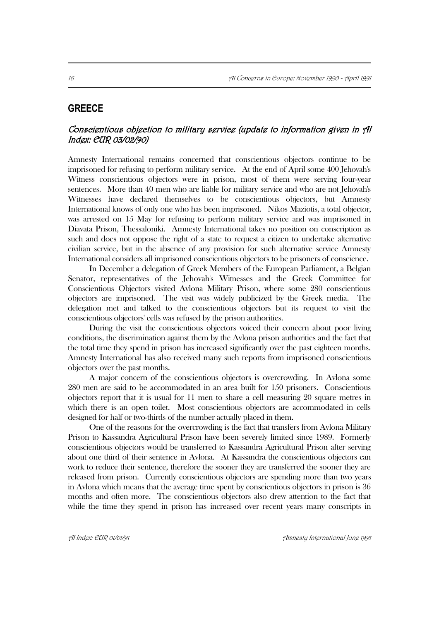# **GREECE**

# Conscientious objection to military service (update to information given in AI Index: EUR 03/02/90)

Amnesty International remains concerned that conscientious objectors continue to be imprisoned for refusing to perform military service. At the end of April some 400 Jehovah's Witness conscientious objectors were in prison, most of them were serving four-year sentences. More than 40 men who are liable for military service and who are not Jehovah's Witnesses have declared themselves to be conscientious objectors, but Amnesty International knows of only one who has been imprisoned. Nikos Maziotis, a total objector, was arrested on 15 May for refusing to perform military service and was imprisoned in Diavata Prison, Thessaloniki. Amnesty International takes no position on conscription as such and does not oppose the right of a state to request a citizen to undertake alternative civilian service, but in the absence of any provision for such alternative service Amnesty International considers all imprisoned conscientious objectors to be prisoners of conscience.

In December a delegation of Greek Members of the European Parliament, a Belgian Senator, representatives of the Jehovah's Witnesses and the Greek Committee for Conscientious Objectors visited Avlona Military Prison, where some 280 conscientious objectors are imprisoned. The visit was widely publicized by the Greek media. The delegation met and talked to the conscientious objectors but its request to visit the conscientious objectors' cells was refused by the prison authorities.

During the visit the conscientious objectors voiced their concern about poor living conditions, the discrimination against them by the Avlona prison authorities and the fact that the total time they spend in prison has increased significantly over the past eighteen months. Amnesty International has also received many such reports from imprisoned conscientious objectors over the past months.

A major concern of the conscientious objectors is overcrowding. In Avlona some 280 men are said to be accommodated in an area built for 150 prisoners. Conscientious objectors report that it is usual for 11 men to share a cell measuring 20 square metres in which there is an open toilet. Most conscientious objectors are accommodated in cells designed for half or two-thirds of the number actually placed in them.

One of the reasons for the overcrowding is the fact that transfers from Avlona Military Prison to Kassandra Agricultural Prison have been severely limited since 1989. Formerly conscientious objectors would be transferred to Kassandra Agricultural Prison after serving about one third of their sentence in Avlona. At Kassandra the conscientious objectors can work to reduce their sentence, therefore the sooner they are transferred the sooner they are released from prison. Currently conscientious objectors are spending more than two years in Avlona which means that the average time spent by conscientious objectors in prison is 36 months and often more. The conscientious objectors also drew attention to the fact that while the time they spend in prison has increased over recent years many conscripts in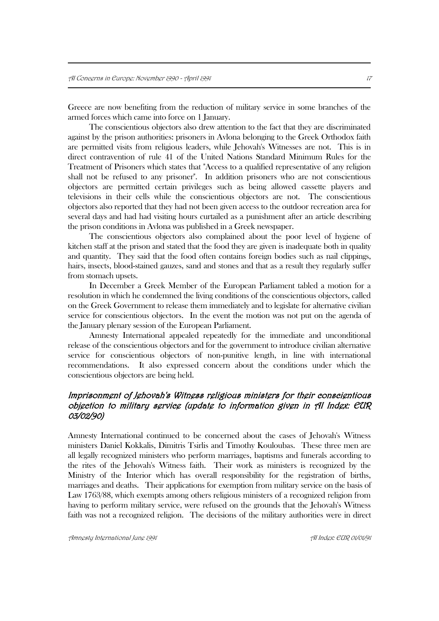Greece are now benefiting from the reduction of military service in some branches of the armed forces which came into force on 1 January.

The conscientious objectors also drew attention to the fact that they are discriminated against by the prison authorities: prisoners in Avlona belonging to the Greek Orthodox faith are permitted visits from religious leaders, while Jehovah's Witnesses are not. This is in direct contravention of rule 41 of the United Nations Standard Minimum Rules for the Treatment of Prisoners which states that "Access to a qualified representative of any religion shall not be refused to any prisoner". In addition prisoners who are not conscientious objectors are permitted certain privileges such as being allowed cassette players and televisions in their cells while the conscientious objectors are not. The conscientious objectors also reported that they had not been given access to the outdoor recreation area for several days and had had visiting hours curtailed as a punishment after an article describing the prison conditions in Avlona was published in a Greek newspaper.

The conscientious objectors also complained about the poor level of hygiene of kitchen staff at the prison and stated that the food they are given is inadequate both in quality and quantity. They said that the food often contains foreign bodies such as nail clippings, hairs, insects, blood-stained gauzes, sand and stones and that as a result they regularly suffer from stomach upsets.

In December a Greek Member of the European Parliament tabled a motion for a resolution in which he condemned the living conditions of the conscientious objectors, called on the Greek Government to release them immediately and to legislate for alternative civilian service for conscientious objectors. In the event the motion was not put on the agenda of the January plenary session of the European Parliament.

Amnesty International appealed repeatedly for the immediate and unconditional release of the conscientious objectors and for the government to introduce civilian alternative service for conscientious objectors of non-punitive length, in line with international recommendations. It also expressed concern about the conditions under which the conscientious objectors are being held.

# Imprisonment of Jehovah's Witness religious ministers for their conscientious objection to military service (update to information given in AI Index: EUR 03/02/90)

Amnesty International continued to be concerned about the cases of Jehovah's Witness ministers Daniel Kokkalis, Dimitris Tsirlis and Timothy Kouloubas. These three men are all legally recognized ministers who perform marriages, baptisms and funerals according to the rites of the Jehovah's Witness faith. Their work as ministers is recognized by the Ministry of the Interior which has overall responsibility for the registration of births, marriages and deaths. Their applications for exemption from military service on the basis of Law 1763/88, which exempts among others religious ministers of a recognized religion from having to perform military service, were refused on the grounds that the Jehovah's Witness faith was not a recognized religion. The decisions of the military authorities were in direct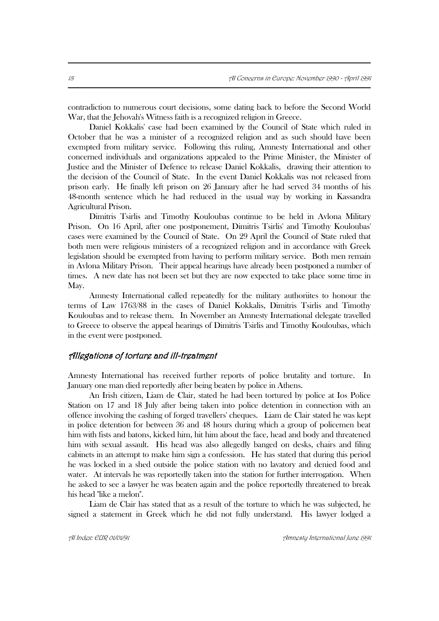contradiction to numerous court decisions, some dating back to before the Second World War, that the Jehovah's Witness faith is a recognized religion in Greece.

Daniel Kokkalis' case had been examined by the Council of State which ruled in October that he was a minister of a recognized religion and as such should have been exempted from military service. Following this ruling, Amnesty International and other concerned individuals and organizations appealed to the Prime Minister, the Minister of Justice and the Minister of Defence to release Daniel Kokkalis, drawing their attention to the decision of the Council of State. In the event Daniel Kokkalis was not released from prison early. He finally left prison on 26 January after he had served 34 months of his 48-month sentence which he had reduced in the usual way by working in Kassandra Agricultural Prison.

Dimitris Tsirlis and Timothy Kouloubas continue to be held in Avlona Military Prison. On 16 April, after one postponement, Dimitris Tsirlis' and Timothy Kouloubas' cases were examined by the Council of State. On 29 April the Council of State ruled that both men were religious ministers of a recognized religion and in accordance with Greek legislation should be exempted from having to perform military service. Both men remain in Avlona Military Prison. Their appeal hearings have already been postponed a number of times. A new date has not been set but they are now expected to take place some time in May.

Amnesty International called repeatedly for the military authoriites to honour the terms of Law 1763/88 in the cases of Daniel Kokkalis, Dimitris Tsirlis and Timothy Kouloubas and to release them. In November an Amnesty International delegate travelled to Greece to observe the appeal hearings of Dimitris Tsirlis and Timothy Kouloubas, which in the event were postponed.

#### Allegations of torture and ill-treatment

Amnesty International has received further reports of police brutality and torture. In January one man died reportedly after being beaten by police in Athens.

An Irish citizen, Liam de Clair, stated he had been tortured by police at Ios Police Station on 17 and 18 July after being taken into police detention in connection with an offence involving the cashing of forged travellers' cheques. Liam de Clair stated he was kept in police detention for between 36 and 48 hours during which a group of policemen beat him with fists and batons, kicked him, hit him about the face, head and body and threatened him with sexual assault. His head was also allegedly banged on desks, chairs and filing cabinets in an attempt to make him sign a confession. He has stated that during this period he was locked in a shed outside the police station with no lavatory and denied food and water. At intervals he was reportedly taken into the station for further interrogation. When he asked to see a lawyer he was beaten again and the police reportedly threatened to break his head "like a melon".

Liam de Clair has stated that as a result of the torture to which he was subjected, he signed a statement in Greek which he did not fully understand. His lawyer lodged a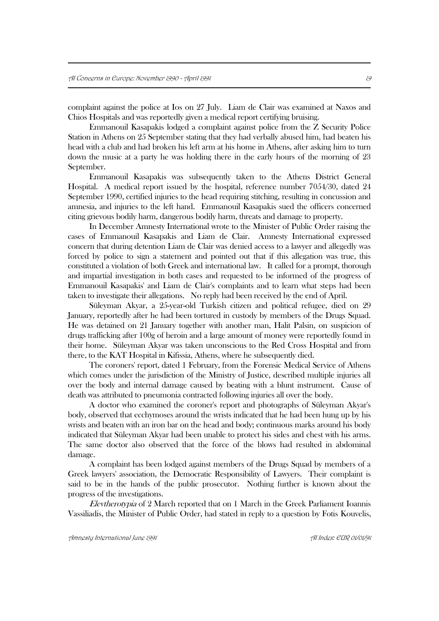complaint against the police at Ios on 27 July. Liam de Clair was examined at Naxos and Chios Hospitals and was reportedly given a medical report certifying bruising.

Emmanouil Kasapakis lodged a complaint against police from the Z Security Police Station in Athens on 25 September stating that they had verbally abused him, had beaten his head with a club and had broken his left arm at his home in Athens, after asking him to turn down the music at a party he was holding there in the early hours of the morning of 23 September.

Emmanouil Kasapakis was subsequently taken to the Athens District General Hospital. A medical report issued by the hospital, reference number 7054/30, dated 24 September 1990, certified injuries to the head requiring stitching, resulting in concussion and amnesia, and injuries to the left hand. Emmanouil Kasapakis sued the officers concerned citing grievous bodily harm, dangerous bodily harm, threats and damage to property.

In December Amnesty International wrote to the Minister of Public Order raising the cases of Emmanouil Kasapakis and Liam de Clair. Amnesty International expressed concern that during detention Liam de Clair was denied access to a lawyer and allegedly was forced by police to sign a statement and pointed out that if this allegation was true, this constituted a violation of both Greek and international law. It called for a prompt, thorough and impartial investigation in both cases and requested to be informed of the progress of Emmanouil Kasapakis' and Liam de Clair's complaints and to learn what steps had been taken to investigate their allegations. No reply had been received by the end of April.

Süleyman Akyar, a 25-year-old Turkish citizen and political refugee, died on 29 January, reportedly after he had been tortured in custody by members of the Drugs Squad. He was detained on 21 January together with another man, Halit Palsin, on suspicion of drugs trafficking after 100g of heroin and a large amount of money were reportedly found in their home. Süleyman Akyar was taken unconscious to the Red Cross Hospital and from there, to the KAT Hospital in Kifissia, Athens, where he subsequently died.

The coroners' report, dated 1 February, from the Forensic Medical Service of Athens which comes under the jurisdiction of the Ministry of Justice, described multiple injuries all over the body and internal damage caused by beating with a blunt instrument. Cause of death was attributed to pneumonia contracted following injuries all over the body.

A doctor who examined the coroner's report and photographs of Süleyman Akyar's body, observed that ecchymoses around the wrists indicated that he had been hung up by his wrists and beaten with an iron bar on the head and body; continuous marks around his body indicated that Süleyman Akyar had been unable to protect his sides and chest with his arms. The same doctor also observed that the force of the blows had resulted in abdominal damage.

A complaint has been lodged against members of the Drugs Squad by members of a Greek lawyers' association, the Democratic Responsibility of Lawyers. Their complaint is said to be in the hands of the public prosecutor. Nothing further is known about the progress of the investigations.

Elevtherotypia of 2 March reported that on 1 March in the Greek Parliament Ioannis Vassiliadis, the Minister of Public Order, had stated in reply to a question by Fotis Kouvelis,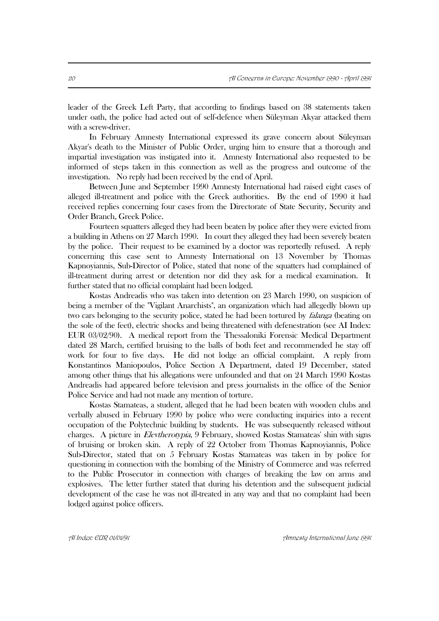leader of the Greek Left Party, that according to findings based on 38 statements taken under oath, the police had acted out of self-defence when Süleyman Akyar attacked them with a screw-driver.

In February Amnesty International expressed its grave concern about Süleyman Akyar's death to the Minister of Public Order, urging him to ensure that a thorough and impartial investigation was instigated into it. Amnesty International also requested to be informed of steps taken in this connection as well as the progress and outcome of the investigation. No reply had been received by the end of April.

Between June and September 1990 Amnesty International had raised eight cases of alleged ill-treatment and police with the Greek authorities. By the end of 1990 it had received replies concerning four cases from the Directorate of State Security, Security and Order Branch, Greek Police.

Fourteen squatters alleged they had been beaten by police after they were evicted from a building in Athens on 27 March 1990. In court they alleged they had been severely beaten by the police. Their request to be examined by a doctor was reportedly refused. A reply concerning this case sent to Amnesty International on 13 November by Thomas Kapnoyiannis, Sub-Director of Police, stated that none of the squatters had complained of ill-treatment during arrest or detention nor did they ask for a medical examination. It further stated that no official complaint had been lodged.

Kostas Andreadis who was taken into detention on 23 March 1990, on suspicion of being a member of the "Vigilant Anarchists", an organization which had allegedly blown up two cars belonging to the security police, stated he had been tortured by *falanga* (beating on the sole of the feet), electric shocks and being threatened with defenestration (see AI Index: EUR 03/02/90). A medical report from the Thessaloniki Forensic Medical Department dated 28 March, certified bruising to the balls of both feet and recommended he stay off work for four to five days. He did not lodge an official complaint. A reply from Konstantinos Maniopoulos, Police Section A Department, dated 19 December, stated among other things that his allegations were unfounded and that on 24 March 1990 Kostas Andreadis had appeared before television and press journalists in the office of the Senior Police Service and had not made any mention of torture.

Kostas Stamateas, a student, alleged that he had been beaten with wooden clubs and verbally abused in February 1990 by police who were conducting inquiries into a recent occupation of the Polytechnic building by students. He was subsequently released without charges. A picture in Elevtherotypia, 9 February, showed Kostas Stamateas' shin with signs of bruising or broken skin. A reply of 22 October from Thomas Kapnoyiannis, Police Sub-Director, stated that on 5 February Kostas Stamateas was taken in by police for questioning in connection with the bombing of the Ministry of Commerce and was referred to the Public Prosecutor in connection with charges of breaking the law on arms and explosives. The letter further stated that during his detention and the subsequent judicial development of the case he was not ill-treated in any way and that no complaint had been lodged against police officers.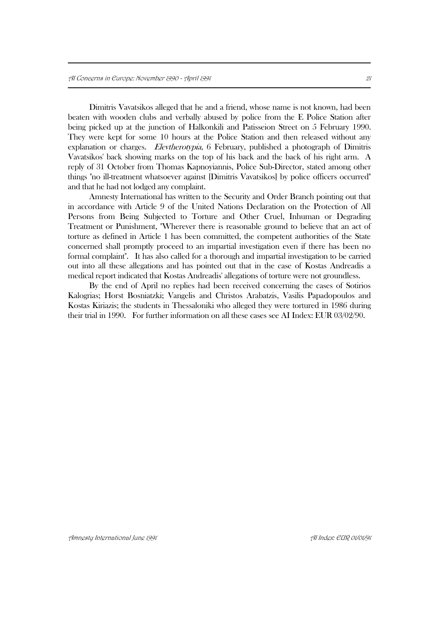Dimitris Vavatsikos alleged that he and a friend, whose name is not known, had been beaten with wooden clubs and verbally abused by police from the E Police Station after being picked up at the junction of Halkonkili and Patisseion Street on 5 February 1990. They were kept for some 10 hours at the Police Station and then released without any explanation or charges. Elevtherotypia, 6 February, published a photograph of Dimitris Vavatsikos' back showing marks on the top of his back and the back of his right arm. A reply of 31 October from Thomas Kapnoyiannis, Police Sub-Director, stated among other things "no ill-treatment whatsoever against [Dimitris Vavatsikos] by police officers occurred" and that he had not lodged any complaint.

Amnesty International has written to the Security and Order Branch pointing out that in accordance with Article 9 of the United Nations Declaration on the Protection of All Persons from Being Subjected to Torture and Other Cruel, Inhuman or Degrading Treatment or Punishment, "Wherever there is reasonable ground to believe that an act of torture as defined in Article 1 has been committed, the competent authorities of the State concerned shall promptly proceed to an impartial investigation even if there has been no formal complaint". It has also called for a thorough and impartial investigation to be carried out into all these allegations and has pointed out that in the case of Kostas Andreadis a medical report indicated that Kostas Andreadis' allegations of torture were not groundless.

By the end of April no replies had been received concerning the cases of Sotirios Kalogrias; Horst Bosniatzki; Vangelis and Christos Arabatzis, Vasilis Papadopoulos and Kostas Kiriazis; the students in Thessaloniki who alleged they were tortured in 1986 during their trial in 1990. For further information on all these cases see AI Index: EUR 03/02/90.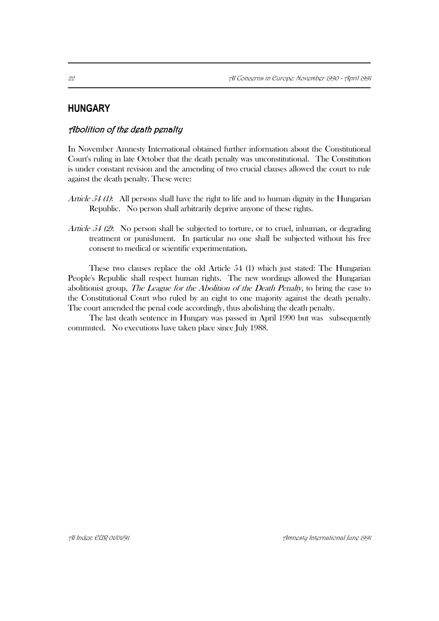# **HUNGARY**

## Abolition of the death penalty

In November Amnesty International obtained further information about the Constitutional Court's ruling in late October that the death penalty was unconstitutional. The Constitution is under constant revision and the amending of two crucial clauses allowed the court to rule against the death penalty. These were:

- *Article 54 (1):* All persons shall have the right to life and to human dignity in the Hungarian Republic. No person shall arbitrarily deprive anyone of these rights.
- Article 54  $(2)$ : No person shall be subjected to torture, or to cruel, inhuman, or degrading treatment or punishment. In particular no one shall be subjected without his free consent to medical or scientific experimentation.

These two clauses replace the old Article 54 (1) which just stated: The Hungarian People's Republic shall respect human rights. The new wordings allowed the Hungarian abolitionist group, The League for the Abolition of the Death Penalty, to bring the case to the Constitutional Court who ruled by an eight to one majority against the death penalty. The court amended the penal code accordingly, thus abolishing the death penalty.

The last death sentence in Hungary was passed in April 1990 but was subsequently commuted. No executions have taken place since July 1988.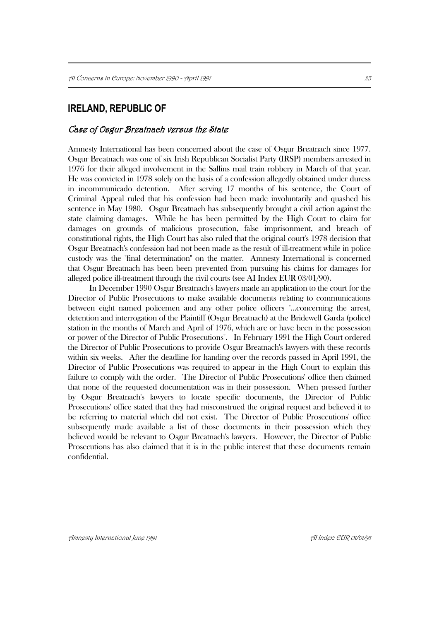# **IRELAND, REPUBLIC OF**

### Case of Osgur Breatnach versus the State

Amnesty International has been concerned about the case of Osgur Breatnach since 1977. Osgur Breatnach was one of six Irish Republican Socialist Party (IRSP) members arrested in 1976 for their alleged involvement in the Sallins mail train robbery in March of that year. He was convicted in 1978 solely on the basis of a confession allegedly obtained under duress in incommunicado detention. After serving 17 months of his sentence, the Court of Criminal Appeal ruled that his confession had been made involuntarily and quashed his sentence in May 1980. Osgur Breatnach has subsequently brought a civil action against the state claiming damages. While he has been permitted by the High Court to claim for damages on grounds of malicious prosecution, false imprisonment, and breach of constitutional rights, the High Court has also ruled that the original court's 1978 decision that Osgur Breatnach's confession had not been made as the result of ill-treatment while in police custody was the "final determination" on the matter. Amnesty International is concerned that Osgur Breatnach has been been prevented from pursuing his claims for damages for alleged police ill-treatment through the civil courts (see AI Index EUR 03/01/90).

In December 1990 Osgur Breatnach's lawyers made an application to the court for the Director of Public Prosecutions to make available documents relating to communications between eight named policemen and any other police officers "...concerning the arrest, detention and interrogation of the Plaintiff (Osgur Breatnach) at the Bridewell Garda (police) station in the months of March and April of 1976, which are or have been in the possession or power of the Director of Public Prosecutions". In February 1991 the High Court ordered the Director of Public Prosecutions to provide Osgur Breatnach's lawyers with these records within six weeks. After the deadline for handing over the records passed in April 1991, the Director of Public Prosecutions was required to appear in the High Court to explain this failure to comply with the order. The Director of Public Prosecutions' office then claimed that none of the requested documentation was in their possession. When pressed further by Osgur Breatnach's lawyers to locate specific documents, the Director of Public Prosecutions' office stated that they had misconstrued the original request and believed it to be referring to material which did not exist. The Director of Public Prosecutions' office subsequently made available a list of those documents in their possession which they believed would be relevant to Osgur Breatnach's lawyers. However, the Director of Public Prosecutions has also claimed that it is in the public interest that these documents remain confidential.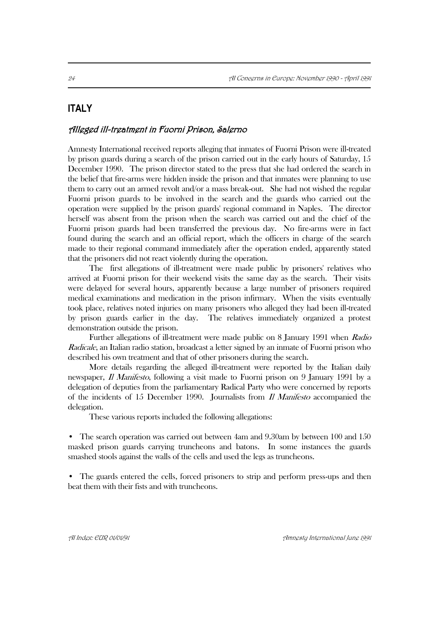# **ITALY**

### Alleged ill-treatment in Fuorni Prison, Salerno

Amnesty International received reports alleging that inmates of Fuorni Prison were ill-treated by prison guards during a search of the prison carried out in the early hours of Saturday, 15 December 1990. The prison director stated to the press that she had ordered the search in the belief that fire-arms were hidden inside the prison and that inmates were planning to use them to carry out an armed revolt and/or a mass break-out. She had not wished the regular Fuorni prison guards to be involved in the search and the guards who carried out the operation were supplied by the prison guards' regional command in Naples. The director herself was absent from the prison when the search was carried out and the chief of the Fuorni prison guards had been transferred the previous day. No fire-arms were in fact found during the search and an official report, which the officers in charge of the search made to their regional command immediately after the operation ended, apparently stated that the prisoners did not react violently during the operation.

The first allegations of ill-treatment were made public by prisoners' relatives who arrived at Fuorni prison for their weekend visits the same day as the search. Their visits were delayed for several hours, apparently because a large number of prisoners required medical examinations and medication in the prison infirmary. When the visits eventually took place, relatives noted injuries on many prisoners who alleged they had been ill-treated by prison guards earlier in the day. The relatives immediately organized a protest demonstration outside the prison.

Further allegations of ill-treatment were made public on 8 January 1991 when Radio Radicale, an Italian radio station, broadcast a letter signed by an inmate of Fuorni prison who described his own treatment and that of other prisoners during the search.

More details regarding the alleged ill-treatment were reported by the Italian daily newspaper, *Il Manifesto*, following a visit made to Fuorni prison on 9 January 1991 by a delegation of deputies from the parliamentary Radical Party who were concerned by reports of the incidents of 15 December 1990. Journalists from  $\hat{I}$  *Manifesto* accompanied the delegation.

These various reports included the following allegations:

• The search operation was carried out between 4am and 9.30am by between 100 and 150 masked prison guards carrying truncheons and batons. In some instances the guards smashed stools against the walls of the cells and used the legs as truncheons.

• The guards entered the cells, forced prisoners to strip and perform press-ups and then beat them with their fists and with truncheons.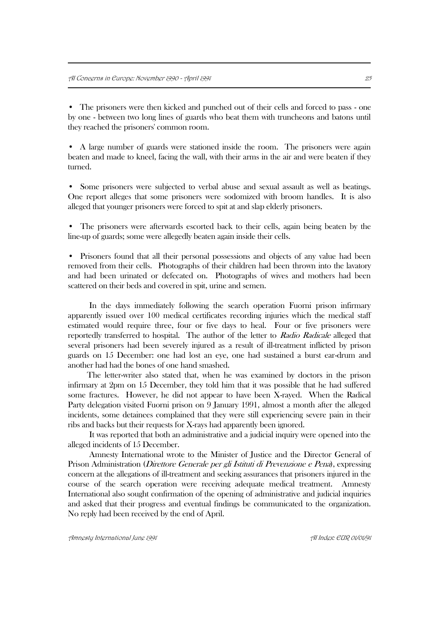• The prisoners were then kicked and punched out of their cells and forced to pass - one by one - between two long lines of guards who beat them with truncheons and batons until they reached the prisoners' common room.

• A large number of guards were stationed inside the room. The prisoners were again beaten and made to kneel, facing the wall, with their arms in the air and were beaten if they turned.

Some prisoners were subjected to verbal abuse and sexual assault as well as beatings. One report alleges that some prisoners were sodomized with broom handles. It is also alleged that younger prisoners were forced to spit at and slap elderly prisoners.

• The prisoners were afterwards escorted back to their cells, again being beaten by the line-up of guards; some were allegedly beaten again inside their cells.

• Prisoners found that all their personal possessions and objects of any value had been removed from their cells. Photographs of their children had been thrown into the lavatory and had been urinated or defecated on. Photographs of wives and mothers had been scattered on their beds and covered in spit, urine and semen.

In the days immediately following the search operation Fuorni prison infirmary apparently issued over 100 medical certificates recording injuries which the medical staff estimated would require three, four or five days to heal. Four or five prisoners were reportedly transferred to hospital. The author of the letter to Radio Radicale alleged that several prisoners had been severely injured as a result of ill-treatment inflicted by prison guards on 15 December: one had lost an eye, one had sustained a burst ear-drum and another had had the bones of one hand smashed.

 The letter-writer also stated that, when he was examined by doctors in the prison infirmary at 2pm on 15 December, they told him that it was possible that he had suffered some fractures. However, he did not appear to have been X-rayed. When the Radical Party delegation visited Fuorni prison on 9 January 1991, almost a month after the alleged incidents, some detainees complained that they were still experiencing severe pain in their ribs and backs but their requests for X-rays had apparently been ignored.

It was reported that both an administrative and a judicial inquiry were opened into the alleged incidents of 15 December.

Amnesty International wrote to the Minister of Justice and the Director General of Prison Administration (Direttore Generale per gli Istituti di Prevenzione e Pena), expressing concern at the allegations of ill-treatment and seeking assurances that prisoners injured in the course of the search operation were receiving adequate medical treatment. Amnesty International also sought confirmation of the opening of administrative and judicial inquiries and asked that their progress and eventual findings be communicated to the organization. No reply had been received by the end of April.

Amnesty International June 1991 AI Index: EUR 01/01/91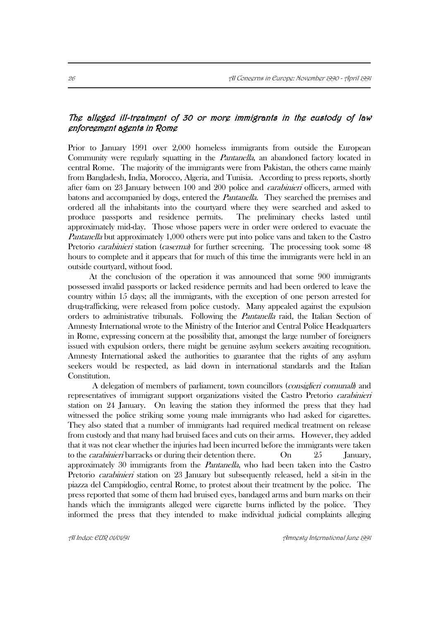# The alleged ill-treatment of 30 or more immigrants in the custody of law enforcement agents in Rome

Prior to January 1991 over 2,000 homeless immigrants from outside the European Community were regularly squatting in the Pantanella, an abandoned factory located in central Rome. The majority of the immigrants were from Pakistan, the others came mainly from Bangladesh, India, Morocco, Algeria, and Tunisia. According to press reports, shortly after 6am on 23 January between 100 and 200 police and *carabinieri* officers, armed with batons and accompanied by dogs, entered the Pantanella. They searched the premises and ordered all the inhabitants into the courtyard where they were searched and asked to produce passports and residence permits. The preliminary checks lasted until approximately mid-day. Those whose papers were in order were ordered to evacuate the Pantanella but approximately 1,000 others were put into police vans and taken to the Castro Pretorio *carabinieri* station (*caserma*) for further screening. The processing took some 48 hours to complete and it appears that for much of this time the immigrants were held in an outside courtyard, without food.

At the conclusion of the operation it was announced that some 900 immigrants possessed invalid passports or lacked residence permits and had been ordered to leave the country within 15 days; all the immigrants, with the exception of one person arrested for drug-trafficking, were released from police custody. Many appealed against the expulsion orders to administrative tribunals. Following the Pantanella raid, the Italian Section of Amnesty International wrote to the Ministry of the Interior and Central Police Headquarters in Rome, expressing concern at the possibility that, amongst the large number of foreigners issued with expulsion orders, there might be genuine asylum seekers awaiting recognition. Amnesty International asked the authorities to guarantee that the rights of any asylum seekers would be respected, as laid down in international standards and the Italian Constitution.

A delegation of members of parliament, town councillors (consiglieri comunali) and representatives of immigrant support organizations visited the Castro Pretorio carabinieri station on 24 January. On leaving the station they informed the press that they had witnessed the police striking some young male immigrants who had asked for cigarettes. They also stated that a number of immigrants had required medical treatment on release from custody and that many had bruised faces and cuts on their arms. However, they added that it was not clear whether the injuries had been incurred before the immigrants were taken to the *carabinieri* barracks or during their detention there.  $\qquad \qquad$  On  $\qquad \qquad$  25 January, approximately 30 immigrants from the Pantanella, who had been taken into the Castro Pretorio *carabinieri* station on 23 January but subsequently released, held a sit-in in the piazza del Campidoglio, central Rome, to protest about their treatment by the police. The press reported that some of them had bruised eyes, bandaged arms and burn marks on their hands which the immigrants alleged were cigarette burns inflicted by the police. They informed the press that they intended to make individual judicial complaints alleging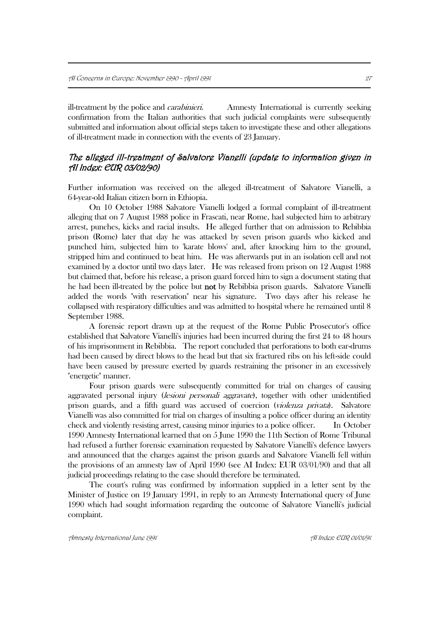ill-treatment by the police and *carabinieri*. Amnesty International is currently seeking confirmation from the Italian authorities that such judicial complaints were subsequently submitted and information about official steps taken to investigate these and other allegations of ill-treatment made in connection with the events of 23 January.

# The alleged ill-treatment of Salvatore Vianelli (update to information given in AI Index: EUR 03/02/90)

Further information was received on the alleged ill-treatment of Salvatore Vianelli, a 64-year-old Italian citizen born in Ethiopia.

On 10 October 1988 Salvatore Vianelli lodged a formal complaint of ill-treatment alleging that on 7 August 1988 police in Frascati, near Rome, had subjected him to arbitrary arrest, punches, kicks and racial insults. He alleged further that on admission to Rebibbia prison (Rome) later that day he was attacked by seven prison guards who kicked and punched him, subjected him to 'karate blows' and, after knocking him to the ground, stripped him and continued to beat him. He was afterwards put in an isolation cell and not examined by a doctor until two days later. He was released from prison on 12 August 1988 but claimed that, before his release, a prison guard forced him to sign a document stating that he had been ill-treated by the police but not by Rebibbia prison guards. Salvatore Vianelli added the words "with reservation" near his signature. Two days after his release he collapsed with respiratory difficulties and was admitted to hospital where he remained until 8 September 1988.

A forensic report drawn up at the request of the Rome Public Prosecutor's office established that Salvatore Vianelli's injuries had been incurred during the first 24 to 48 hours of his imprisonment in Rebibbia. The report concluded that perforations to both ear-drums had been caused by direct blows to the head but that six fractured ribs on his left-side could have been caused by pressure exerted by guards restraining the prisoner in an excessively "energetic" manner.

Four prison guards were subsequently committed for trial on charges of causing aggravated personal injury *(lesioni personali aggravate)*, together with other unidentified prison guards, and a fifth guard was accused of coercion (violenza privata). Salvatore Vianelli was also committed for trial on charges of insulting a police officer during an identity check and violently resisting arrest, causing minor injuries to a police officer. In October 1990 Amnesty International learned that on 5 June 1990 the 11th Section of Rome Tribunal had refused a further forensic examination requested by Salvatore Vianelli's defence lawyers and announced that the charges against the prison guards and Salvatore Vianelli fell within the provisions of an amnesty law of April 1990 (see AI Index: EUR 03/01/90) and that all judicial proceedings relating to the case should therefore be terminated.

The court's ruling was confirmed by information supplied in a letter sent by the Minister of Justice on 19 January 1991, in reply to an Amnesty International query of June 1990 which had sought information regarding the outcome of Salvatore Vianelli's judicial complaint.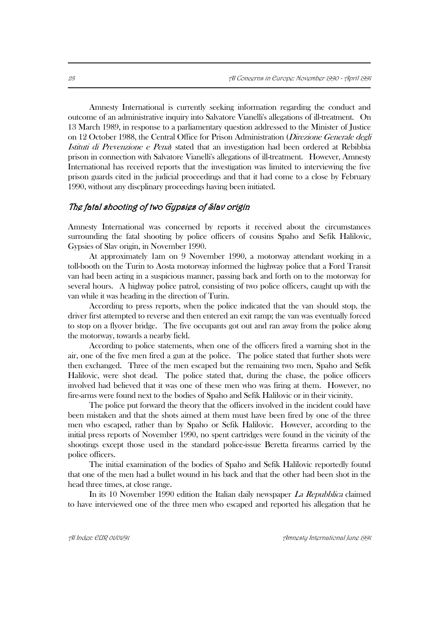Amnesty International is currently seeking information regarding the conduct and outcome of an administrative inquiry into Salvatore Vianelli's allegations of ill-treatment. On 13 March 1989, in response to a parliamentary question addressed to the Minister of Justice on 12 October 1988, the Central Office for Prison Administration (Direzione Generale degli Istituti di Prevenzione e Pena) stated that an investigation had been ordered at Rebibbia prison in connection with Salvatore Vianelli's allegations of ill-treatment. However, Amnesty International has received reports that the investigation was limited to interviewing the five prison guards cited in the judicial proceedings and that it had come to a close by February 1990, without any discplinary proceedings having been initiated.

## The fatal shooting of two Gypsies of Slav origin

Amnesty International was concerned by reports it received about the circumstances surrounding the fatal shooting by police officers of cousins Spaho and Sefik Halilovic, Gypsies of Slav origin, in November 1990.

At approximately 1am on 9 November 1990, a motorway attendant working in a toll-booth on the Turin to Aosta motorway informed the highway police that a Ford Transit van had been acting in a suspicious manner, passing back and forth on to the motorway for several hours. A highway police patrol, consisting of two police officers, caught up with the van while it was heading in the direction of Turin.

According to press reports, when the police indicated that the van should stop, the driver first attempted to reverse and then entered an exit ramp; the van was eventually forced to stop on a flyover bridge. The five occupants got out and ran away from the police along the motorway, towards a nearby field.

According to police statements, when one of the officers fired a warning shot in the air, one of the five men fired a gun at the police. The police stated that further shots were then exchanged. Three of the men escaped but the remaining two men, Spaho and Sefik Halilovic, were shot dead. The police stated that, during the chase, the police officers involved had believed that it was one of these men who was firing at them. However, no fire-arms were found next to the bodies of Spaho and Sefik Halilovic or in their vicinity.

The police put forward the theory that the officers involved in the incident could have been mistaken and that the shots aimed at them must have been fired by one of the three men who escaped, rather than by Spaho or Sefik Halilovic. However, according to the initial press reports of November 1990, no spent cartridges were found in the vicinity of the shootings except those used in the standard police-issue Beretta firearms carried by the police officers.

The initial examination of the bodies of Spaho and Sefik Halilovic reportedly found that one of the men had a bullet wound in his back and that the other had been shot in the head three times, at close range.

In its 10 November 1990 edition the Italian daily newspaper *La Repubblica* claimed to have interviewed one of the three men who escaped and reported his allegation that he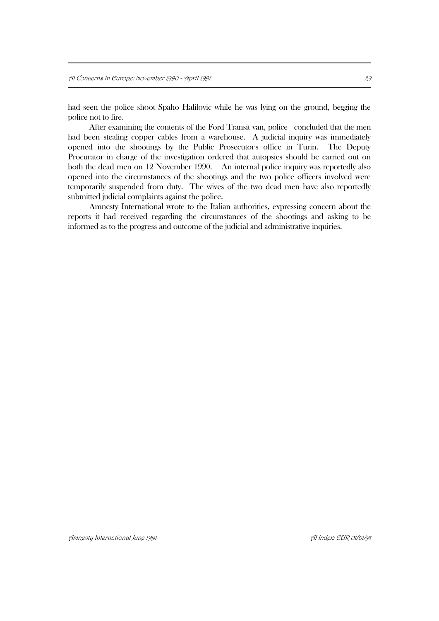had seen the police shoot Spaho Halilovic while he was lying on the ground, begging the police not to fire.

After examining the contents of the Ford Transit van, police concluded that the men had been stealing copper cables from a warehouse. A judicial inquiry was immediately opened into the shootings by the Public Prosecutor's office in Turin. The Deputy Procurator in charge of the investigation ordered that autopsies should be carried out on both the dead men on 12 November 1990. An internal police inquiry was reportedly also opened into the circumstances of the shootings and the two police officers involved were temporarily suspended from duty. The wives of the two dead men have also reportedly submitted judicial complaints against the police.

Amnesty International wrote to the Italian authorities, expressing concern about the reports it had received regarding the circumstances of the shootings and asking to be informed as to the progress and outcome of the judicial and administrative inquiries.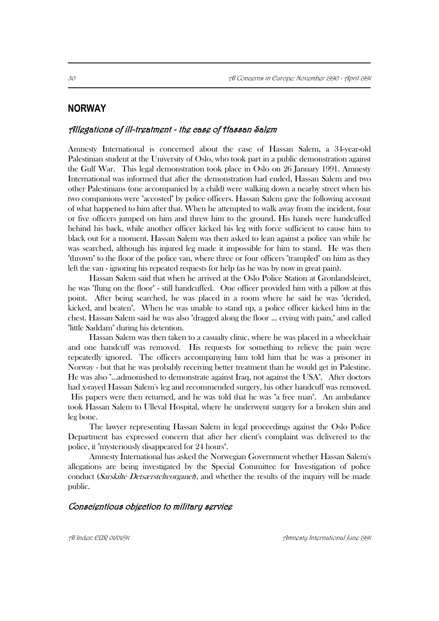# **NORWAY**

### Allegations of ill-treatment - the case of Hassan Salem

Amnesty International is concerned about the case of Hassan Salem, a 34-year-old Palestinian student at the University of Oslo, who took part in a public demonstration against the Gulf War. This legal demonstration took place in Oslo on 26 January 1991. Amnesty International was informed that after the demonstration had ended, Hassan Salem and two other Palestinians (one accompanied by a child) were walking down a nearby street when his two companions were "accosted" by police officers. Hassan Salem gave the following account of what happened to him after that. When he attempted to walk away from the incident, four or five officers jumped on him and threw him to the ground. His hands were handcuffed behind his back, while another officer kicked his leg with force sufficient to cause him to black out for a moment. Hassan Salem was then asked to lean against a police van while he was searched, although his injured leg made it impossible for him to stand. He was then "thrown" to the floor of the police van, where three or four officers "trampled" on him as they left the van - ignoring his repeated requests for help (as he was by now in great pain).

Hassan Salem said that when he arrived at the Oslo Police Station at Gronlandsleiret, he was "flung on the floor" - still handcuffed. One officer provided him with a pillow at this point. After being searched, he was placed in a room where he said he was "derided, kicked, and beaten". When he was unable to stand up, a police officer kicked him in the chest. Hassan Salem said he was also "dragged along the floor ... crying with pain," and called "little Saddam" during his detention.

Hassan Salem was then taken to a casualty clinic, where he was placed in a wheelchair and one handcuff was removed. His requests for something to relieve the pain were repeatedly ignored. The officers accompanying him told him that he was a prisoner in Norway - but that he was probably receiving better treatment than he would get in Palestine. He was also "...admonished to demonstrate against Iraq, not against the USA". After doctors had x-rayed Hassan Salem's leg and recommended surgery, his other handcuff was removed. His papers were then returned, and he was told that he was "a free man". An ambulance took Hassan Salem to Ulleval Hospital, where he underwent surgery for a broken shin and leg bone.

The lawyer representing Hassan Salem in legal proceedings against the Oslo Police Department has expressed concern that after her client's complaint was delivered to the police, it "mysteriously disappeared for 24 hours".

Amnesty International has asked the Norwegian Government whether Hassan Salem's allegations are being investigated by the Special Committee for Investigation of police conduct *(Sarskilte Detsærstelteorganet)*, and whether the results of the inquiry will be made public.

#### Conscientious objection to military service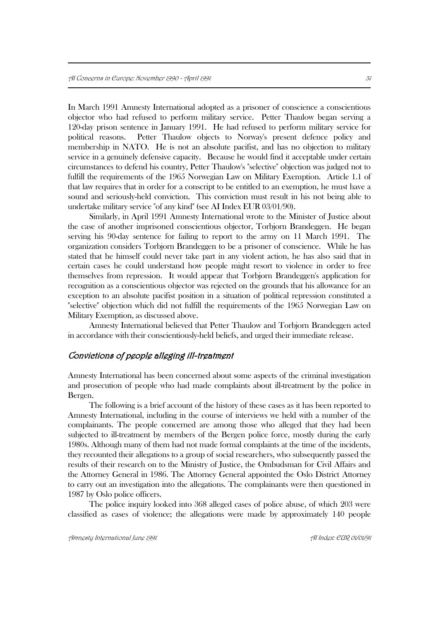In March 1991 Amnesty International adopted as a prisoner of conscience a conscientious objector who had refused to perform military service. Petter Thaulow began serving a 120-day prison sentence in January 1991. He had refused to perform military service for political reasons. Petter Thaulow objects to Norway's present defence policy and membership in NATO. He is not an absolute pacifist, and has no objection to military service in a genuinely defensive capacity. Because he would find it acceptable under certain circumstances to defend his country, Petter Thaulow's "selective" objection was judged not to fulfill the requirements of the 1965 Norwegian Law on Military Exemption. Article 1.1 of that law requires that in order for a conscript to be entitled to an exemption, he must have a sound and seriously-held conviction. This conviction must result in his not being able to undertake military service "of any kind" (see AI Index EUR 03/01/90).

Similarly, in April 1991 Amnesty International wrote to the Minister of Justice about the case of another imprisoned conscientious objector, Torbjorn Brandeggen. He began serving his 90-day sentence for failing to report to the army on 11 March 1991. The organization considers Torbjorn Brandeggen to be a prisoner of conscience. While he has stated that he himself could never take part in any violent action, he has also said that in certain cases he could understand how people might resort to violence in order to free themselves from repression. It would appear that Torbjorn Brandeggen's application for recognition as a conscientious objector was rejected on the grounds that his allowance for an exception to an absolute pacifist position in a situation of political repression constituted a "selective" objection which did not fulfill the requirements of the 1965 Norwegian Law on Military Exemption, as discussed above.

Amnesty International believed that Petter Thaulow and Torbjorn Brandeggen acted in accordance with their conscientiously-held beliefs, and urged their immediate release.

#### Convictions of people alleging ill-treatment

Amnesty International has been concerned about some aspects of the criminal investigation and prosecution of people who had made complaints about ill-treatment by the police in Bergen.

The following is a brief account of the history of these cases as it has been reported to Amnesty International, including in the course of interviews we held with a number of the complainants. The people concerned are among those who alleged that they had been subjected to ill-treatment by members of the Bergen police force, mostly during the early 1980s. Although many of them had not made formal complaints at the time of the incidents, they recounted their allegations to a group of social researchers, who subsequently passed the results of their research on to the Ministry of Justice, the Ombudsman for Civil Affairs and the Attorney General in 1986. The Attorney General appointed the Oslo District Attorney to carry out an investigation into the allegations. The complainants were then questioned in 1987 by Oslo police officers.

The police inquiry looked into 368 alleged cases of police abuse, of which 203 were classified as cases of violence; the allegations were made by approximately 140 people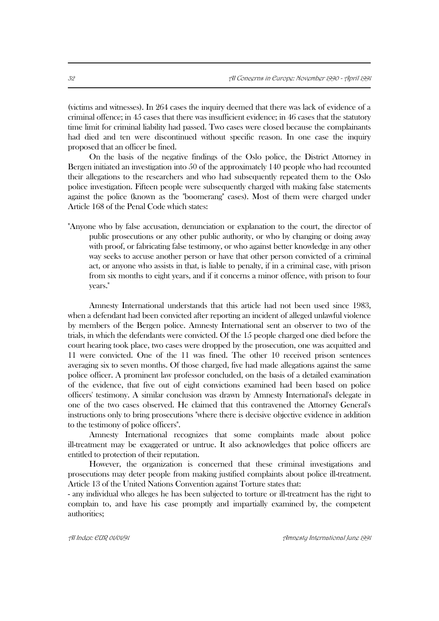(victims and witnesses). In 264 cases the inquiry deemed that there was lack of evidence of a criminal offence; in 45 cases that there was insufficient evidence; in 46 cases that the statutory time limit for criminal liability had passed. Two cases were closed because the complainants had died and ten were discontinued without specific reason. In one case the inquiry proposed that an officer be fined.

On the basis of the negative findings of the Oslo police, the District Attorney in Bergen initiated an investigation into 50 of the approximately 140 people who had recounted their allegations to the researchers and who had subsequently repeated them to the Oslo police investigation. Fifteen people were subsequently charged with making false statements against the police (known as the "boomerang" cases). Most of them were charged under Article 168 of the Penal Code which states:

"Anyone who by false accusation, denunciation or explanation to the court, the director of public prosecutions or any other public authority, or who by changing or doing away with proof, or fabricating false testimony, or who against better knowledge in any other way seeks to accuse another person or have that other person convicted of a criminal act, or anyone who assists in that, is liable to penalty, if in a criminal case, with prison from six months to eight years, and if it concerns a minor offence, with prison to four years."

Amnesty International understands that this article had not been used since 1983, when a defendant had been convicted after reporting an incident of alleged unlawful violence by members of the Bergen police. Amnesty International sent an observer to two of the trials, in which the defendants were convicted. Of the 15 people charged one died before the court hearing took place, two cases were dropped by the prosecution, one was acquitted and 11 were convicted. One of the 11 was fined. The other 10 received prison sentences averaging six to seven months. Of those charged, five had made allegations against the same police officer. A prominent law professor concluded, on the basis of a detailed examination of the evidence, that five out of eight convictions examined had been based on police officers' testimony. A similar conclusion was drawn by Amnesty International's delegate in one of the two cases observed. He claimed that this contravened the Attorney General's instructions only to bring prosecutions "where there is decisive objective evidence in addition to the testimony of police officers".

Amnesty International recognizes that some complaints made about police ill-treatment may be exaggerated or untrue. It also acknowledges that police officers are entitled to protection of their reputation.

However, the organization is concerned that these criminal investigations and prosecutions may deter people from making justified complaints about police ill-treatment. Article 13 of the United Nations Convention against Torture states that:

- any individual who alleges he has been subjected to torture or ill-treatment has the right to complain to, and have his case promptly and impartially examined by, the competent authorities;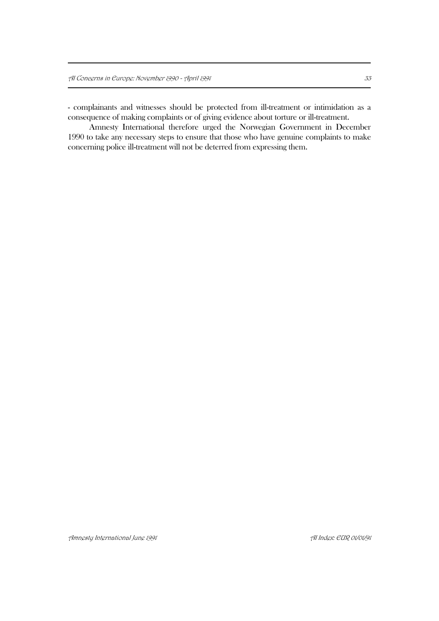- complainants and witnesses should be protected from ill-treatment or intimidation as a consequence of making complaints or of giving evidence about torture or ill-treatment.

Amnesty International therefore urged the Norwegian Government in December 1990 to take any necessary steps to ensure that those who have genuine complaints to make concerning police ill-treatment will not be deterred from expressing them.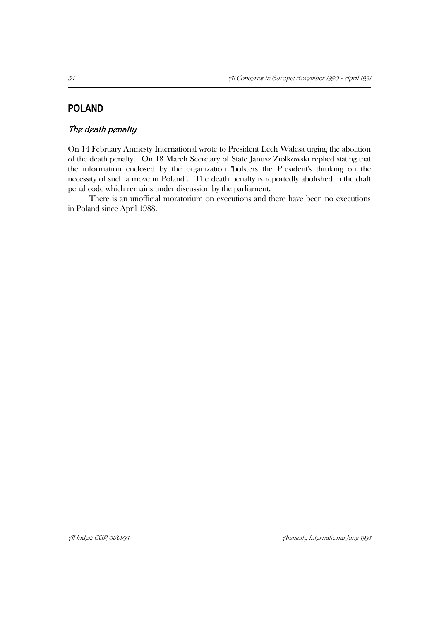# **POLAND**

# The death penalty

On 14 February Amnesty International wrote to President Lech Walesa urging the abolition of the death penalty. On 18 March Secretary of State Janusz Ziolkowski replied stating that the information enclosed by the organization "bolsters the President's thinking on the necessity of such a move in Poland". The death penalty is reportedly abolished in the draft penal code which remains under discussion by the parliament.

There is an unofficial moratorium on executions and there have been no executions in Poland since April 1988.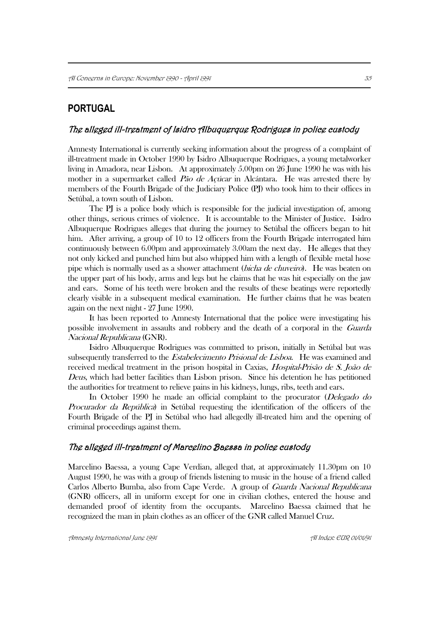# **PORTUGAL**

### The alleged ill-treatment of Isidro Albuquerque Rodrigues in police custody

Amnesty International is currently seeking information about the progress of a complaint of ill-treatment made in October 1990 by Isidro Albuquerque Rodrigues, a young metalworker living in Amadora, near Lisbon. At approximately 5.00pm on 26 June 1990 he was with his mother in a supermarket called Pão de Açúcar in Alcántara. He was arrested there by members of the Fourth Brigade of the Judiciary Police (PJ) who took him to their offices in Setúbal, a town south of Lisbon.

The PJ is a police body which is responsible for the judicial investigation of, among other things, serious crimes of violence. It is accountable to the Minister of Justice. Isidro Albuquerque Rodrigues alleges that during the journey to Setúbal the officers began to hit him. After arriving, a group of 10 to 12 officers from the Fourth Brigade interrogated him continuously between 6.00pm and approximately 3.00am the next day. He alleges that they not only kicked and punched him but also whipped him with a length of flexible metal hose pipe which is normally used as a shower attachment (bicha de chuveiro). He was beaten on the upper part of his body, arms and legs but he claims that he was hit especially on the jaw and ears. Some of his teeth were broken and the results of these beatings were reportedly clearly visible in a subsequent medical examination. He further claims that he was beaten again on the next night - 27 June 1990.

It has been reported to Amnesty International that the police were investigating his possible involvement in assaults and robbery and the death of a corporal in the Guarda Nacional Republicana (GNR).

Isidro Albuquerque Rodrigues was committed to prison, initially in Setúbal but was subsequently transferred to the *Estabelecimento Prisional de Lisboa*. He was examined and received medical treatment in the prison hospital in Caxias, Hospital-Prisão de S. João de Deus, which had better facilities than Lisbon prison. Since his detention he has petitioned the authorities for treatment to relieve pains in his kidneys, lungs, ribs, teeth and ears.

In October 1990 he made an official complaint to the procurator (*Delegado do* Procurador da República) in Setúbal requesting the identification of the officers of the Fourth Brigade of the PJ in Setúbal who had allegedly ill-treated him and the opening of criminal proceedings against them.

### The alleged ill-treatment of Marcelino Baessa in police custody

Marcelino Baessa, a young Cape Verdian, alleged that, at approximately 11.30pm on 10 August 1990, he was with a group of friends listening to music in the house of a friend called Carlos Alberto Bumba, also from Cape Verde. A group of Guarda Nacional Republicana (GNR) officers, all in uniform except for one in civilian clothes, entered the house and demanded proof of identity from the occupants. Marcelino Baessa claimed that he recognized the man in plain clothes as an officer of the GNR called Manuel Cruz.

Amnesty International June 1991 AI Index: EUR 01/01/91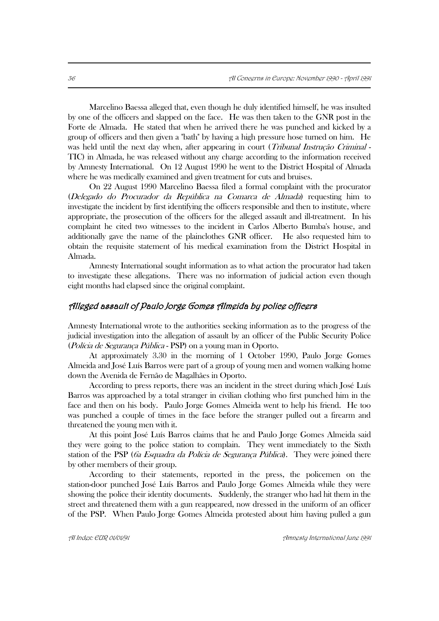Marcelino Baessa alleged that, even though he duly identified himself, he was insulted by one of the officers and slapped on the face. He was then taken to the GNR post in the Forte de Almada. He stated that when he arrived there he was punched and kicked by a group of officers and then given a "bath" by having a high pressure hose turned on him. He was held until the next day when, after appearing in court (*Tribunal Instrução Criminal* -TIC) in Almada, he was released without any charge according to the information received by Amnesty International. On 12 August 1990 he went to the District Hospital of Almada where he was medically examined and given treatment for cuts and bruises.

On 22 August 1990 Marcelino Baessa filed a formal complaint with the procurator (Delegado do Procurador da República na Comarca de Almada) requesting him to investigate the incident by first identifying the officers responsible and then to institute, where appropriate, the prosecution of the officers for the alleged assault and ill-treatment. In his complaint he cited two witnesses to the incident in Carlos Alberto Bumba's house, and additionally gave the name of the plainclothes GNR officer. He also requested him to obtain the requisite statement of his medical examination from the District Hospital in Almada.

Amnesty International sought information as to what action the procurator had taken to investigate these allegations. There was no information of judicial action even though eight months had elapsed since the original complaint.

### Alleged assault of Paulo Jorge Gomes Almeida by police officers

Amnesty International wrote to the authorities seeking information as to the progress of the judicial investigation into the allegation of assault by an officer of the Public Security Police (Polícia de Segurança Pública - PSP) on a young man in Oporto.

At approximately 3.30 in the morning of 1 October 1990, Paulo Jorge Gomes Almeida and José Luís Barros were part of a group of young men and women walking home down the Avenida de Fernão de Magalhães in Oporto.

According to press reports, there was an incident in the street during which José Luís Barros was approached by a total stranger in civilian clothing who first punched him in the face and then on his body. Paulo Jorge Gomes Almeida went to help his friend. He too was punched a couple of times in the face before the stranger pulled out a firearm and threatened the young men with it.

At this point José Luís Barros claims that he and Paulo Jorge Gomes Almeida said they were going to the police station to complain. They went immediately to the Sixth station of the PSP (6a Esquadra da Polícia de Segurança Pública). They were joined there by other members of their group.

According to their statements, reported in the press, the policemen on the station-door punched José Luís Barros and Paulo Jorge Gomes Almeida while they were showing the police their identity documents. Suddenly, the stranger who had hit them in the street and threatened them with a gun reappeared, now dressed in the uniform of an officer of the PSP. When Paulo Jorge Gomes Almeida protested about him having pulled a gun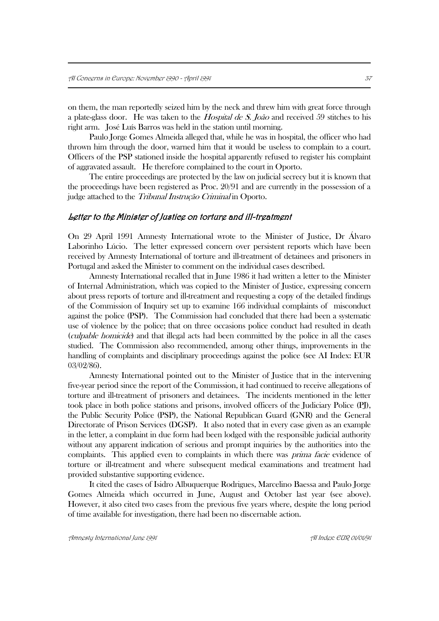on them, the man reportedly seized him by the neck and threw him with great force through a plate-glass door. He was taken to the *Hospital de S. João* and received 59 stitches to his right arm. José Luís Barros was held in the station until morning.

Paulo Jorge Gomes Almeida alleged that, while he was in hospital, the officer who had thrown him through the door, warned him that it would be useless to complain to a court. Officers of the PSP stationed inside the hospital apparently refused to register his complaint of aggravated assault. He therefore complained to the court in Oporto.

The entire proceedings are protected by the law on judicial secrecy but it is known that the proceedings have been registered as Proc. 20/91 and are currently in the possession of a judge attached to the Tribunal Instrução Criminal in Oporto.

#### Letter to the Minister of Justice on torture and ill-treatment

On 29 April 1991 Amnesty International wrote to the Minister of Justice, Dr Álvaro Laborinho Lúcio. The letter expressed concern over persistent reports which have been received by Amnesty International of torture and ill-treatment of detainees and prisoners in Portugal and asked the Minister to comment on the individual cases described.

Amnesty International recalled that in June 1986 it had written a letter to the Minister of Internal Administration, which was copied to the Minister of Justice, expressing concern about press reports of torture and ill-treatment and requesting a copy of the detailed findings of the Commission of Inquiry set up to examine 166 individual complaints of misconduct against the police (PSP). The Commission had concluded that there had been a systematic use of violence by the police; that on three occasions police conduct had resulted in death (culpable homicide) and that illegal acts had been committed by the police in all the cases studied. The Commission also recommended, among other things, improvements in the handling of complaints and disciplinary proceedings against the police (see AI Index: EUR 03/02/86).

Amnesty International pointed out to the Minister of Justice that in the intervening five-year period since the report of the Commission, it had continued to receive allegations of torture and ill-treatment of prisoners and detainees. The incidents mentioned in the letter took place in both police stations and prisons, involved officers of the Judiciary Police (PJ), the Public Security Police (PSP), the National Republican Guard (GNR) and the General Directorate of Prison Services (DGSP). It also noted that in every case given as an example in the letter, a complaint in due form had been lodged with the responsible judicial authority without any apparent indication of serious and prompt inquiries by the authorities into the complaints. This applied even to complaints in which there was *prima facie* evidence of torture or ill-treatment and where subsequent medical examinations and treatment had provided substantive supporting evidence.

It cited the cases of Isidro Albuquerque Rodrigues, Marcelino Baessa and Paulo Jorge Gomes Almeida which occurred in June, August and October last year (see above). However, it also cited two cases from the previous five years where, despite the long period of time available for investigation, there had been no discernable action.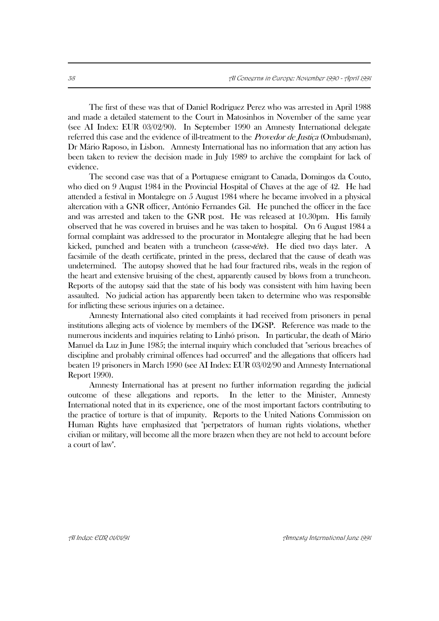The first of these was that of Daniel Rodríguez Perez who was arrested in April 1988 and made a detailed statement to the Court in Matosinhos in November of the same year (see AI Index: EUR 03/02/90). In September 1990 an Amnesty International delegate referred this case and the evidence of ill-treatment to the *Provedor de Justica* (Ombudsman), Dr Mário Raposo, in Lisbon. Amnesty International has no information that any action has been taken to review the decision made in July 1989 to archive the complaint for lack of evidence.

The second case was that of a Portuguese emigrant to Canada, Domingos da Couto, who died on 9 August 1984 in the Provincial Hospital of Chaves at the age of 42. He had attended a festival in Montalegre on 5 August 1984 where he became involved in a physical altercation with a GNR officer, António Fernandes Gil. He punched the officer in the face and was arrested and taken to the GNR post. He was released at 10.30pm. His family observed that he was covered in bruises and he was taken to hospital. On 6 August 1984 a formal complaint was addressed to the procurator in Montalegre alleging that he had been kicked, punched and beaten with a truncheon (casse-tête). He died two days later. A facsimile of the death certificate, printed in the press, declared that the cause of death was undetermined. The autopsy showed that he had four fractured ribs, weals in the region of the heart and extensive bruising of the chest, apparently caused by blows from a truncheon. Reports of the autopsy said that the state of his body was consistent with him having been assaulted. No judicial action has apparently been taken to determine who was responsible for inflicting these serious injuries on a detainee.

Amnesty International also cited complaints it had received from prisoners in penal institutions alleging acts of violence by members of the DGSP. Reference was made to the numerous incidents and inquiries relating to Linhó prison. In particular, the death of Mário Manuel da Luz in June 1985; the internal inquiry which concluded that "serious breaches of discipline and probably criminal offences had occurred" and the allegations that officers had beaten 19 prisoners in March 1990 (see AI Index: EUR 03/02/90 and Amnesty International Report 1990).

Amnesty International has at present no further information regarding the judicial outcome of these allegations and reports. In the letter to the Minister, Amnesty International noted that in its experience, one of the most important factors contributing to the practice of torture is that of impunity. Reports to the United Nations Commission on Human Rights have emphasized that "perpetrators of human rights violations, whether civilian or military, will become all the more brazen when they are not held to account before a court of law".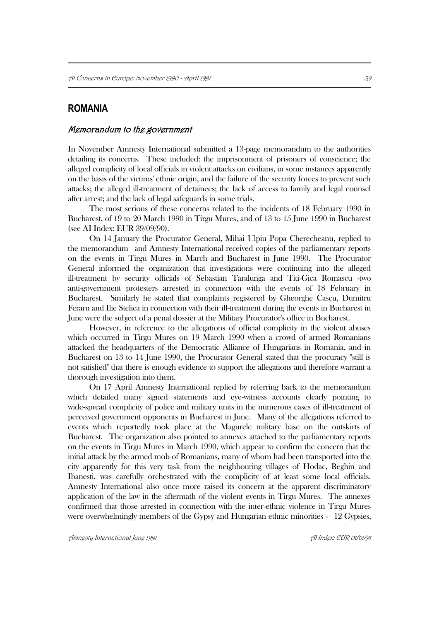# **ROMANIA**

#### Memorandum to the government

In November Amnesty International submitted a 13-page memorandum to the authorities detailing its concerns. These included: the imprisonment of prisoners of conscience; the alleged complicity of local officials in violent attacks on civilians, in some instances apparently on the basis of the victims' ethnic origin, and the failure of the security forces to prevent such attacks; the alleged ill-treatment of detainees; the lack of access to family and legal counsel after arrest; and the lack of legal safeguards in some trials.

The most serious of these concerns related to the incidents of 18 February 1990 in Bucharest, of 19 to 20 March 1990 in Tirgu Mures, and of 13 to 15 June 1990 in Bucharest (see AI Index: EUR 39/09/90).

On 14 January the Procurator General, Mihai Ulpiu Popa Cherecheanu, replied to the memorandum and Amnesty International received copies of the parliamentary reports on the events in Tirgu Mures in March and Bucharest in June 1990. The Procurator General informed the organization that investigations were continuing into the alleged ill-treatment by security officials of Sebastian Taralunga and Titi-Gica Romascu -two anti-government protesters arrested in connection with the events of 18 February in Bucharest. Similarly he stated that complaints registered by Gheorghe Cascu, Dumitru Feraru and Ilie Stelica in connection with their ill-treatment during the events in Bucharest in June were the subject of a penal dossier at the Military Procurator's office in Bucharest.

However, in reference to the allegations of official complicity in the violent abuses which occurred in Tirgu Mures on 19 March 1990 when a crowd of armed Romanians attacked the headquarters of the Democratic Alliance of Hungarians in Romania, and in Bucharest on 13 to 14 June 1990, the Procurator General stated that the procuracy "still is not satisfied" that there is enough evidence to support the allegations and therefore warrant a thorough investigation into them.

On 17 April Amnesty International replied by referring back to the memorandum which detailed many signed statements and eye-witness accounts clearly pointing to wide-spread complicity of police and military units in the numerous cases of ill-treatment of perceived government opponents in Bucharest in June. Many of the allegations referred to events which reportedly took place at the Magurele military base on the outskirts of Bucharest. The organization also pointed to annexes attached to the parliamentary reports on the events in Tirgu Mures in March 1990, which appear to confirm the concern that the initial attack by the armed mob of Romanians, many of whom had been transported into the city apparently for this very task from the neighbouring villages of Hodac, Reghin and Ibanesti, was carefully orchestrated with the complicity of at least some local officials. Amnesty International also once more raised its concern at the apparent discriminatory application of the law in the aftermath of the violent events in Tirgu Mures. The annexes confirmed that those arrested in connection with the inter-ethnic violence in Tirgu Mures were overwhelmingly members of the Gypsy and Hungarian ethnic minorities - 12 Gypsies,

Amnesty International June 1991 AI Index: EUR 01/01/91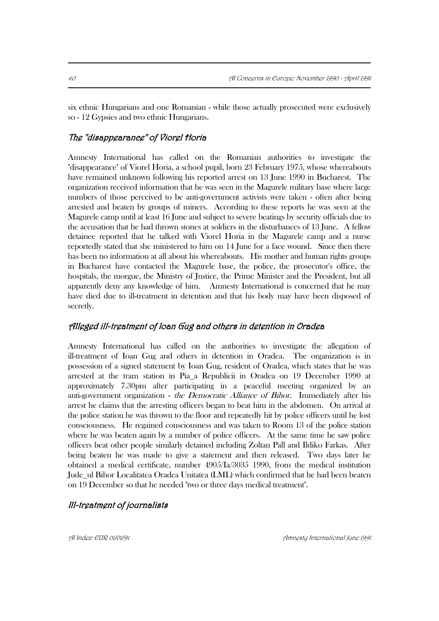six ethnic Hungarians and one Romanian - while those actually prosecuted were exclusively so - 12 Gypsies and two ethnic Hungarians.

# The "disappearance" of Viorel Horia

Amnesty International has called on the Romanian authorities to investigate the "disappearance" of Viorel Horia, a school pupil, born 23 February 1975, whose whereabouts have remained unknown following his reported arrest on 13 June 1990 in Bucharest. The organization received information that he was seen in the Magurele military base where large numbers of those perceived to be anti-government activists were taken - often after being arrested and beaten by groups of miners. According to these reports he was seen at the Magurele camp until at least 16 June and subject to severe beatings by security officials due to the accusation that he had thrown stones at soldiers in the disturbances of 13 June. A fellow detainee reported that he talked with Viorel Horia in the Magurele camp and a nurse reportedly stated that she ministered to him on 14 June for a face wound. Since then there has been no information at all about his whereabouts. His mother and human rights groups in Bucharest have contacted the Magurele base, the police, the prosecutor's office, the hospitals, the morgue, the Ministry of Justice, the Prime Minister and the President, but all apparently deny any knowledge of him. Amnesty International is concerned that he may have died due to ill-treatment in detention and that his body may have been disposed of secretly.

### Alleged ill-treatment of Ioan Gug and others in detention in Oradea

Amnesty International has called on the authorities to investigate the allegation of ill-treatment of Ioan Gug and others in detention in Oradea. The organization is in possession of a signed statement by Ioan Gug, resident of Oradea, which states that he was arrested at the tram station in Pia\_a Republicii in Oradea on 19 December 1990 at approximately 7.30pm after participating in a peaceful meeting organized by an anti-government organization - the Democratic Alliance of Bihor. Immediately after his arrest he claims that the arresting officers began to beat him in the abdomen. On arrival at the police station he was thrown to the floor and repeatedly hit by police officers until he lost consciousness. He regained consciousness and was taken to Room 13 of the police station where he was beaten again by a number of police officers. At the same time he saw police officers beat other people similarly detained including Zoltan Pall and Ildiko Farkas. After being beaten he was made to give a statement and then released. Two days later he obtained a medical certificate, number 4905/Ia/3035 1990, from the medical institution Jude\_ul Bihor Localitatea Oradea Unitatea (LML) which confirmed that he had been beaten on 19 December so that he needed "two or three days medical treatment".

## Ill-treatment of journalists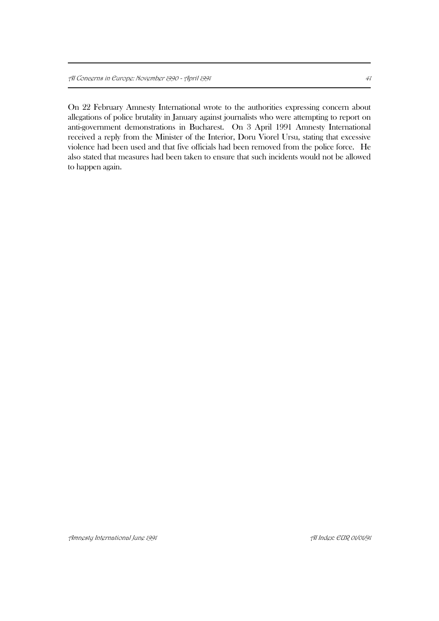On 22 February Amnesty International wrote to the authorities expressing concern about allegations of police brutality in January against journalists who were attempting to report on anti-government demonstrations in Bucharest. On 3 April 1991 Amnesty International received a reply from the Minister of the Interior, Doru Viorel Ursu, stating that excessive violence had been used and that five officials had been removed from the police force. He also stated that measures had been taken to ensure that such incidents would not be allowed to happen again.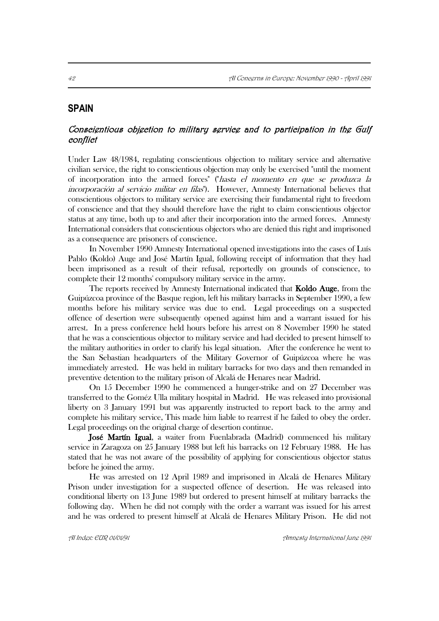## **SPAIN**

# Conscientious objection to military service and to participation in the Gulf conflict

Under Law 48/1984, regulating conscientious objection to military service and alternative civilian service, the right to conscientious objection may only be exercised "until the moment of incorporation into the armed forces" ("hasta el momento en que se produzca la incorporación al servicio militar en filas"). However, Amnesty International believes that conscientious objectors to military service are exercising their fundamental right to freedom of conscience and that they should therefore have the right to claim conscientious objector status at any time, both up to and after their incorporation into the armed forces. Amnesty International considers that conscientious objectors who are denied this right and imprisoned as a consequence are prisoners of conscience.

In November 1990 Amnesty International opened investigations into the cases of Luís Pablo (Koldo) Auge and José Martín Igual, following receipt of information that they had been imprisoned as a result of their refusal, reportedly on grounds of conscience, to complete their 12 months' compulsory military service in the army.

The reports received by Amnesty International indicated that Koldo Auge, from the Guipúzcoa province of the Basque region, left his military barracks in September 1990, a few months before his military service was due to end. Legal proceedings on a suspected offence of desertion were subsequently opened against him and a warrant issued for his arrest. In a press conference held hours before his arrest on 8 November 1990 he stated that he was a conscientious objector to military service and had decided to present himself to the military authorities in order to clarify his legal situation. After the conference he went to the San Sebastian headquarters of the Military Governor of Guipúzcoa where he was immediately arrested. He was held in military barracks for two days and then remanded in preventive detention to the military prison of Alcalá de Henares near Madrid.

On 15 December 1990 he commenced a hunger-strike and on 27 December was transferred to the Goméz Ulla military hospital in Madrid. He was released into provisional liberty on 3 January 1991 but was apparently instructed to report back to the army and complete his military service, This made him liable to rearrest if he failed to obey the order. Legal proceedings on the original charge of desertion continue.

José Martín Igual, a waiter from Fuenlabrada (Madrid) commenced his military service in Zaragoza on 25 January 1988 but left his barracks on 12 February 1988. He has stated that he was not aware of the possibility of applying for conscientious objector status before he joined the army.

He was arrested on 12 April 1989 and imprisoned in Alcalá de Henares Military Prison under investigation for a suspected offence of desertion. He was released into conditional liberty on 13 June 1989 but ordered to present himself at military barracks the following day. When he did not comply with the order a warrant was issued for his arrest and he was ordered to present himself at Alcalá de Henares Military Prison. He did not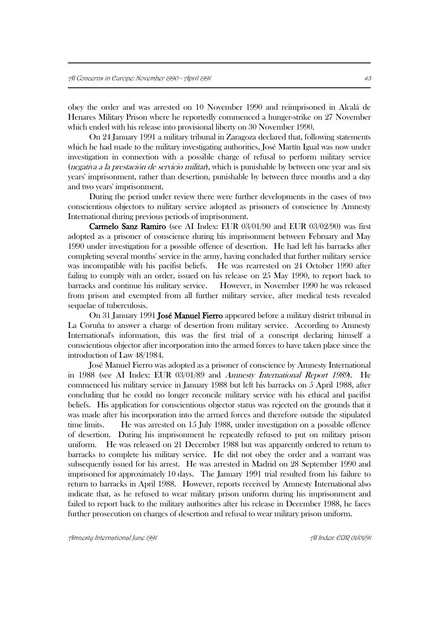obey the order and was arrested on 10 November 1990 and reimprisoned in Alcalá de Henares Military Prison where he reportedly commenced a hunger-strike on 27 November which ended with his release into provisional liberty on 30 November 1990.

On 24 January 1991 a military tribunal in Zaragoza declared that, following statements which he had made to the military investigating authorities, José Martín Igual was now under investigation in connection with a possible charge of refusal to perform military service (negativa a la prestación de servicio militar), which is punishable by between one year and six years' imprisonment, rather than desertion, punishable by between three months and a day and two years' imprisonment.

During the period under review there were further developments in the cases of two conscientious objectors to military service adopted as prisoners of conscience by Amnesty International during previous periods of imprisonment.

 Carmelo Sanz Ramiro (see AI Index: EUR 03/01/90 and EUR 03/02/90) was first adopted as a prisoner of conscience during his imprisonment between February and May 1990 under investigation for a possible offence of desertion. He had left his barracks after completing several months' service in the army, having concluded that further military service was incompatible with his pacifist beliefs. He was rearrested on 24 October 1990 after failing to comply with an order, issued on his release on 25 May 1990, to report back to barracks and continue his military service. However, in November 1990 he was released from prison and exempted from all further military service, after medical tests revealed sequelae of tuberculosis.

On 31 January 1991 José Manuel Fierro appeared before a military district tribunal in La Coruña to answer a charge of desertion from military service. According to Amnesty International's information, this was the first trial of a conscript declaring himself a conscientious objector after incorporation into the armed forces to have taken place since the introduction of Law 48/1984.

José Manuel Fierro was adopted as a prisoner of conscience by Amnesty International in 1988 (see AI Index: EUR 03/01/89 and Amnesty International Report 1989). He commenced his military service in January 1988 but left his barracks on 5 April 1988, after concluding that he could no longer reconcile military service with his ethical and pacifist beliefs. His application for conscientious objector status was rejected on the grounds that it was made after his incorporation into the armed forces and therefore outside the stipulated time limits. He was arrested on 15 July 1988, under investigation on a possible offence of desertion. During his imprisonment he repeatedly refused to put on military prison uniform. He was released on 21 December 1988 but was apparently ordered to return to barracks to complete his military service. He did not obey the order and a warrant was subsequently issued for his arrest. He was arrested in Madrid on 28 September 1990 and imprisoned for approximately 10 days. The January 1991 trial resulted from his failure to return to barracks in April 1988. However, reports received by Amnesty International also indicate that, as he refused to wear military prison uniform during his imprisonment and failed to report back to the military authorities after his release in December 1988, he faces further prosecution on charges of desertion and refusal to wear military prison uniform.

Amnesty International June 1991 AI Index: EUR 01/01/91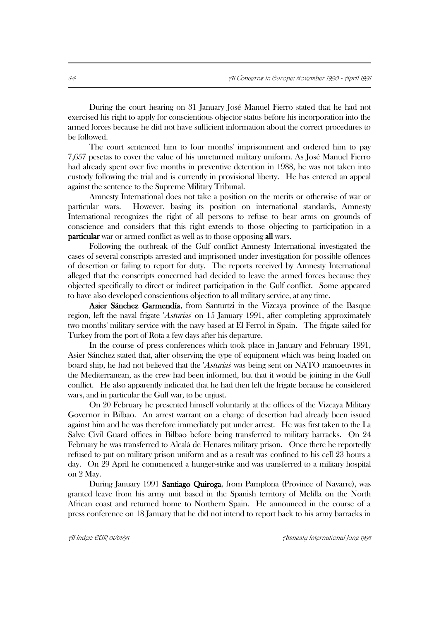During the court hearing on 31 January José Manuel Fierro stated that he had not exercised his right to apply for conscientious objector status before his incorporation into the armed forces because he did not have sufficient information about the correct procedures to be followed.

The court sentenced him to four months' imprisonment and ordered him to pay 7,657 pesetas to cover the value of his unreturned military uniform. As José Manuel Fierro had already spent over five months in preventive detention in 1988, he was not taken into custody following the trial and is currently in provisional liberty. He has entered an appeal against the sentence to the Supreme Military Tribunal.

Amnesty International does not take a position on the merits or otherwise of war or particular wars. However, basing its position on international standards, Amnesty International recognizes the right of all persons to refuse to bear arms on grounds of conscience and considers that this right extends to those objecting to participation in a **particular** war or armed conflict as well as to those opposing all wars.

Following the outbreak of the Gulf conflict Amnesty International investigated the cases of several conscripts arrested and imprisoned under investigation for possible offences of desertion or failing to report for duty. The reports received by Amnesty International alleged that the conscripts concerned had decided to leave the armed forces because they objected specifically to direct or indirect participation in the Gulf conflict. Some appeared to have also developed conscientious objection to all military service, at any time.

 Asier Sánchez Garmendía, from Santurtzi in the Vizcaya province of the Basque region, left the naval frigate 'Asturias' on 15 January 1991, after completing approximately two months' military service with the navy based at El Ferrol in Spain. The frigate sailed for Turkey from the port of Rota a few days after his departure.

In the course of press conferences which took place in January and February 1991, Asier Sánchez stated that, after observing the type of equipment which was being loaded on board ship, he had not believed that the 'Asturias' was being sent on NATO manoeuvres in the Mediterranean, as the crew had been informed, but that it would be joining in the Gulf conflict. He also apparently indicated that he had then left the frigate because he considered wars, and in particular the Gulf war, to be unjust.

On 20 February he presented himself voluntarily at the offices of the Vizcaya Military Governor in Bilbao. An arrest warrant on a charge of desertion had already been issued against him and he was therefore immediately put under arrest. He was first taken to the La Salve Civil Guard offices in Bilbao before being transferred to military barracks. On 24 February he was transferred to Alcalá de Henares military prison. Once there he reportedly refused to put on military prison uniform and as a result was confined to his cell 23 hours a day. On 29 April he commenced a hunger-strike and was transferred to a military hospital on 2 May.

During January 1991 Santiago Quiroga, from Pamplona (Province of Navarre), was granted leave from his army unit based in the Spanish territory of Melilla on the North African coast and returned home to Northern Spain. He announced in the course of a press conference on 18 January that he did not intend to report back to his army barracks in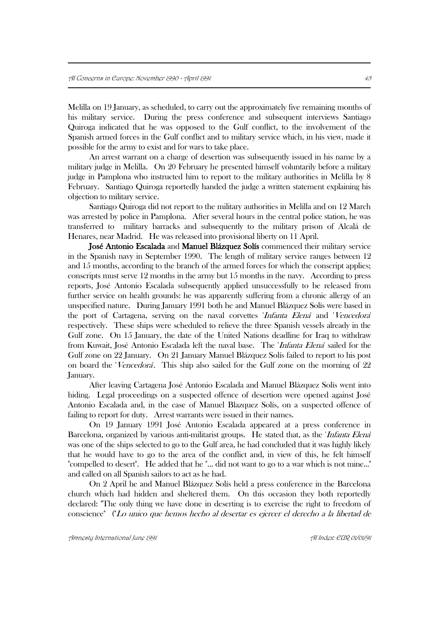Melilla on 19 January, as scheduled, to carry out the approximately five remaining months of his military service. During the press conference and subsequent interviews Santiago Quiroga indicated that he was opposed to the Gulf conflict, to the involvement of the Spanish armed forces in the Gulf conflict and to military service which, in his view, made it possible for the army to exist and for wars to take place.

An arrest warrant on a charge of desertion was subsequently issued in his name by a military judge in Melilla. On 20 February he presented himself voluntarily before a military judge in Pamplona who instructed him to report to the military authorities in Melilla by 8 February. Santiago Quiroga reportedly handed the judge a written statement explaining his objection to military service.

Santiago Quiroga did not report to the military authorities in Melilla and on 12 March was arrested by police in Pamplona. After several hours in the central police station, he was transferred to military barracks and subsequently to the military prison of Alcalá de Henares, near Madrid. He was released into provisional liberty on 11 April.

 José Antonio Escalada and Manuel Blázquez Solís commenced their military service in the Spanish navy in September 1990. The length of military service ranges between 12 and 15 months, according to the branch of the armed forces for which the conscript applies; conscripts must serve 12 months in the army but 15 months in the navy. According to press reports, José Antonio Escalada subsequently applied unsuccessfully to be released from further service on health grounds: he was apparently suffering from a chronic allergy of an unspecified nature. During January 1991 both he and Manuel Blázquez Solís were based in the port of Cartagena, serving on the naval corvettes 'Infanta Elena' and 'Vencedora' respectively. These ships were scheduled to relieve the three Spanish vessels already in the Gulf zone. On 15 January, the date of the United Nations deadline for Iraq to withdraw from Kuwait, José Antonio Escalada left the naval base. The 'Infanta Elena' sailed for the Gulf zone on 22 January. On 21 January Manuel Blázquez Solís failed to report to his post on board the 'Vencedora'. This ship also sailed for the Gulf zone on the morning of 22 January.

After leaving Cartagena José Antonio Escalada and Manuel Blázquez Solís went into hiding. Legal proceedings on a suspected offence of desertion were opened against José Antonio Escalada and, in the case of Manuel Blazquez Solís, on a suspected offence of failing to report for duty. Arrest warrants were issued in their names.

On 19 January 1991 José Antonio Escalada appeared at a press conference in Barcelona, organized by various anti-militarist groups. He stated that, as the *Infanta Elena* was one of the ships selected to go to the Gulf area, he had concluded that it was highly likely that he would have to go to the area of the conflict and, in view of this, he felt himself "compelled to desert". He added that he "... did not want to go to a war which is not mine..." and called on all Spanish sailors to act as he had.

On 2 April he and Manuel Blázquez Solís held a press conference in the Barcelona church which had hidden and sheltered them. On this occasion they both reportedly declared: "The only thing we have done in deserting is to exercise the right to freedom of conscience" ("Lo unico que hemos hecho al desertar es ejercer el derecho a la libertad de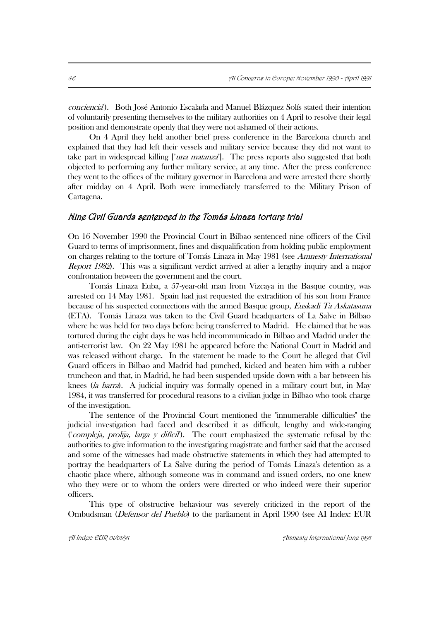conciencia"). Both José Antonio Escalada and Manuel Blázquez Solís stated their intention of voluntarily presenting themselves to the military authorities on 4 April to resolve their legal position and demonstrate openly that they were not ashamed of their actions.

On 4 April they held another brief press conference in the Barcelona church and explained that they had left their vessels and military service because they did not want to take part in widespread killing ["*una matanza*"]. The press reports also suggested that both objected to performing any further military service, at any time. After the press conference they went to the offices of the military governor in Barcelona and were arrested there shortly after midday on 4 April. Both were immediately transferred to the Military Prison of Cartagena.

### Nine Civil Guards sentenced in the Tomás Linaza torture trial

On 16 November 1990 the Provincial Court in Bilbao sentenced nine officers of the Civil Guard to terms of imprisonment, fines and disqualification from holding public employment on charges relating to the torture of Tomás Linaza in May 1981 (see Amnesty International Report 1982). This was a significant verdict arrived at after a lengthy inquiry and a major confrontation between the government and the court.

Tomás Linaza Euba, a 57-year-old man from Vizcaya in the Basque country, was arrested on 14 May 1981. Spain had just requested the extradition of his son from France because of his suspected connections with the armed Basque group, Euskadi Ta Askatasuna (ETA). Tomás Linaza was taken to the Civil Guard headquarters of La Salve in Bilbao where he was held for two days before being transferred to Madrid. He claimed that he was tortured during the eight days he was held incommunicado in Bilbao and Madrid under the anti-terrorist law. On 22 May 1981 he appeared before the National Court in Madrid and was released without charge. In the statement he made to the Court he alleged that Civil Guard officers in Bilbao and Madrid had punched, kicked and beaten him with a rubber truncheon and that, in Madrid, he had been suspended upside down with a bar between his knees (la barra). A judicial inquiry was formally opened in a military court but, in May 1984, it was transferred for procedural reasons to a civilian judge in Bilbao who took charge of the investigation.

The sentence of the Provincial Court mentioned the "innumerable difficulties" the judicial investigation had faced and described it as difficult, lengthy and wide-ranging ("compleja, prolija, larga y difícil"). The court emphasized the systematic refusal by the authorities to give information to the investigating magistrate and further said that the accused and some of the witnesses had made obstructive statements in which they had attempted to portray the headquarters of La Salve during the period of Tomás Linaza's detention as a chaotic place where, although someone was in command and issued orders, no one knew who they were or to whom the orders were directed or who indeed were their superior officers.

This type of obstructive behaviour was severely criticized in the report of the Ombudsman (Defensor del Pueblo) to the parliament in April 1990 (see AI Index: EUR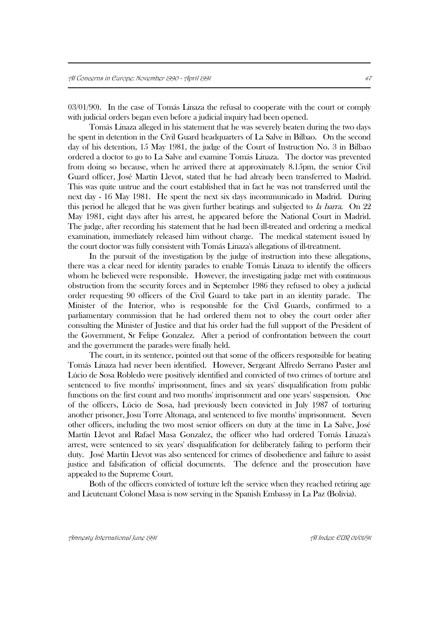03/01/90). In the case of Tomás Linaza the refusal to cooperate with the court or comply with judicial orders began even before a judicial inquiry had been opened.

Tomás Linaza alleged in his statement that he was severely beaten during the two days he spent in detention in the Civil Guard headquarters of La Salve in Bilbao. On the second day of his detention, 15 May 1981, the judge of the Court of Instruction No. 3 in Bilbao ordered a doctor to go to La Salve and examine Tomás Linaza. The doctor was prevented from doing so because, when he arrived there at approximately 8.15pm, the senior Civil Guard officer, José Martín Llevot, stated that he had already been transferred to Madrid. This was quite untrue and the court established that in fact he was not transferred until the next day - 16 May 1981. He spent the next six days incommunicado in Madrid. During this period he alleged that he was given further beatings and subjected to *la barra*. On 22 May 1981, eight days after his arrest, he appeared before the National Court in Madrid. The judge, after recording his statement that he had been ill-treated and ordering a medical examination, immediately released him without charge. The medical statement issued by the court doctor was fully consistent with Tomás Linaza's allegations of ill-treatment.

In the pursuit of the investigation by the judge of instruction into these allegations, there was a clear need for identity parades to enable Tomás Linaza to identify the officers whom he believed were responsible. However, the investigating judge met with continuous obstruction from the security forces and in September 1986 they refused to obey a judicial order requesting 90 officers of the Civil Guard to take part in an identity parade. The Minister of the Interior, who is responsible for the Civil Guards, confirmed to a parliamentary commission that he had ordered them not to obey the court order after consulting the Minister of Justice and that his order had the full support of the President of the Government, Sr Felipe Gonzalez. After a period of confrontation between the court and the government the parades were finally held.

The court, in its sentence, pointed out that some of the officers responsible for beating Tomás Linaza had never been identified. However, Sergeant Alfredo Serrano Paster and Lúcio de Sosa Robledo were positively identified and convicted of two crimes of torture and sentenced to five months' imprisonment, fines and six years' disqualification from public functions on the first count and two months' imprisonment and one years' suspension. One of the officers, Lúcio de Sosa, had previously been convicted in July 1987 of torturing another prisoner, Josu Torre Altonaga, and sentenced to five months' imprisonment. Seven other officers, including the two most senior officers on duty at the time in La Salve, José Martín Llevot and Rafael Masa Gonzalez, the officer who had ordered Tomás Linaza's arrest, were sentenced to six years' disqualification for deliberately failing to perform their duty. José Martín Llevot was also sentenced for crimes of disobedience and failure to assist justice and falsification of official documents. The defence and the prosecution have appealed to the Supreme Court.

Both of the officers convicted of torture left the service when they reached retiring age and Lieutenant Colonel Masa is now serving in the Spanish Embassy in La Paz (Bolivia).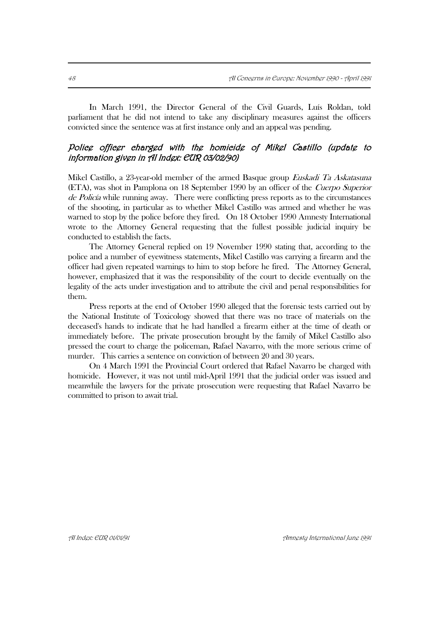In March 1991, the Director General of the Civil Guards, Luís Roldan, told parliament that he did not intend to take any disciplinary measures against the officers convicted since the sentence was at first instance only and an appeal was pending.

### Police officer charged with the homicide of Mikel Castillo (update to information given in AI Index: EUR 03/02/90)

Mikel Castillo, a 23-year-old member of the armed Basque group Euskadi Ta Askatasuna (ETA), was shot in Pamplona on 18 September 1990 by an officer of the Cuerpo Superior de Policía while running away. There were conflicting press reports as to the circumstances of the shooting, in particular as to whether Mikel Castillo was armed and whether he was warned to stop by the police before they fired. On 18 October 1990 Amnesty International wrote to the Attorney General requesting that the fullest possible judicial inquiry be conducted to establish the facts.

The Attorney General replied on 19 November 1990 stating that, according to the police and a number of eyewitness statements, Mikel Castillo was carrying a firearm and the officer had given repeated warnings to him to stop before he fired. The Attorney General, however, emphasized that it was the responsibility of the court to decide eventually on the legality of the acts under investigation and to attribute the civil and penal responsibilities for them.

Press reports at the end of October 1990 alleged that the forensic tests carried out by the National Institute of Toxicology showed that there was no trace of materials on the deceased's hands to indicate that he had handled a firearm either at the time of death or immediately before. The private prosecution brought by the family of Mikel Castillo also pressed the court to charge the policeman, Rafael Navarro, with the more serious crime of murder. This carries a sentence on conviction of between 20 and 30 years.

On 4 March 1991 the Provincial Court ordered that Rafael Navarro be charged with homicide. However, it was not until mid-April 1991 that the judicial order was issued and meanwhile the lawyers for the private prosecution were requesting that Rafael Navarro be committed to prison to await trial.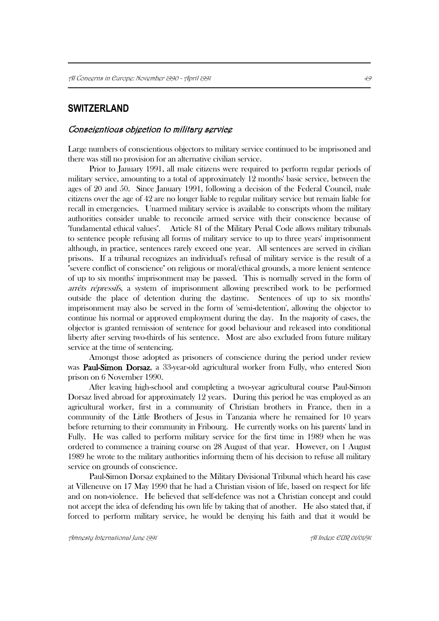# **SWITZERLAND**

#### Conscientious objection to military service

Large numbers of conscientious objectors to military service continued to be imprisoned and there was still no provision for an alternative civilian service.

Prior to January 1991, all male citizens were required to perform regular periods of military service, amounting to a total of approximately 12 months' basic service, between the ages of 20 and 50. Since January 1991, following a decision of the Federal Council, male citizens over the age of 42 are no longer liable to regular military service but remain liable for recall in emergencies. Unarmed military service is available to conscripts whom the military authorities consider unable to reconcile armed service with their conscience because of "fundamental ethical values". Article 81 of the Military Penal Code allows military tribunals to sentence people refusing all forms of military service to up to three years' imprisonment although, in practice, sentences rarely exceed one year. All sentences are served in civilian prisons. If a tribunal recognizes an individual's refusal of military service is the result of a "severe conflict of conscience" on religious or moral/ethical grounds, a more lenient sentence of up to six months' imprisonment may be passed. This is normally served in the form of arrêts répressifs, a system of imprisonment allowing prescribed work to be performed outside the place of detention during the daytime. Sentences of up to six months' imprisonment may also be served in the form of 'semi-detention', allowing the objector to continue his normal or approved employment during the day. In the majority of cases, the objector is granted remission of sentence for good behaviour and released into conditional liberty after serving two-thirds of his sentence. Most are also excluded from future military service at the time of sentencing.

Amongst those adopted as prisoners of conscience during the period under review was Paul-Simon Dorsaz, a 33-year-old agricultural worker from Fully, who entered Sion prison on 6 November 1990.

After leaving high-school and completing a two-year agricultural course Paul-Simon Dorsaz lived abroad for approximately 12 years. During this period he was employed as an agricultural worker, first in a community of Christian brothers in France, then in a community of the Little Brothers of Jesus in Tanzania where he remained for 10 years before returning to their community in Fribourg. He currently works on his parents' land in Fully. He was called to perform military service for the first time in 1989 when he was ordered to commence a training course on 28 August of that year. However, on 1 August 1989 he wrote to the military authorities informing them of his decision to refuse all military service on grounds of conscience.

Paul-Simon Dorsaz explained to the Military Divisional Tribunal which heard his case at Villeneuve on 17 May 1990 that he had a Christian vision of life, based on respect for life and on non-violence. He believed that self-defence was not a Christian concept and could not accept the idea of defending his own life by taking that of another. He also stated that, if forced to perform military service, he would be denying his faith and that it would be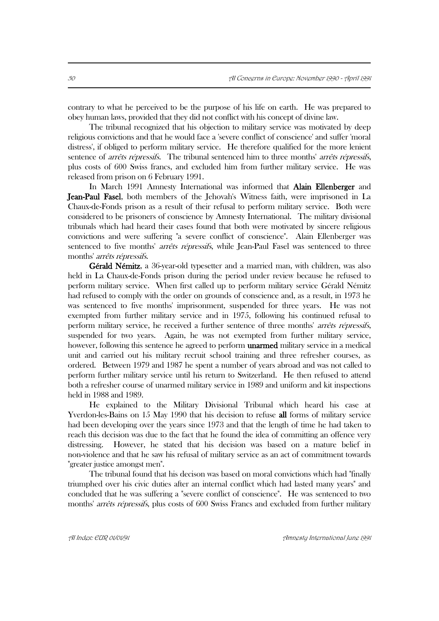contrary to what he perceived to be the purpose of his life on earth. He was prepared to obey human laws, provided that they did not conflict with his concept of divine law.

The tribunal recognized that his objection to military service was motivated by deep religious convictions and that he would face a 'severe conflict of conscience' and suffer 'moral distress', if obliged to perform military service. He therefore qualified for the more lenient sentence of *arrêts répressifs*. The tribunal sentenced him to three months' *arrêts répressifs*, plus costs of 600 Swiss francs, and excluded him from further military service. He was released from prison on 6 February 1991.

In March 1991 Amnesty International was informed that **Alain Ellenberger** and Jean-Paul Fasel, both members of the Jehovah's Witness faith, were imprisoned in La Chaux-de-Fonds prison as a result of their refusal to perform military service. Both were considered to be prisoners of conscience by Amnesty International. The military divisional tribunals which had heard their cases found that both were motivated by sincere religious convictions and were suffering "a severe conflict of conscience". Alain Ellenberger was sentenced to five months' *arrêts répressifs*, while Jean-Paul Fasel was sentenced to three months' arrêts répressifs.

 Gérald Némitz, a 36-year-old typesetter and a married man, with children, was also held in La Chaux-de-Fonds prison during the period under review because he refused to perform military service. When first called up to perform military service Gérald Némitz had refused to comply with the order on grounds of conscience and, as a result, in 1973 he was sentenced to five months' imprisonment, suspended for three years. He was not exempted from further military service and in 1975, following his continued refusal to perform military service, he received a further sentence of three months' arrêts répressifs, suspended for two years. Again, he was not exempted from further military service, however, following this sentence he agreed to perform **unarmed** military service in a medical unit and carried out his military recruit school training and three refresher courses, as ordered. Between 1979 and 1987 he spent a number of years abroad and was not called to perform further military service until his return to Switzerland. He then refused to attend both a refresher course of unarmed military service in 1989 and uniform and kit inspections held in 1988 and 1989.

He explained to the Military Divisional Tribunal which heard his case at Yverdon-les-Bains on 15 May 1990 that his decision to refuse all forms of military service had been developing over the years since 1973 and that the length of time he had taken to reach this decision was due to the fact that he found the idea of committing an offence very distressing. However, he stated that his decision was based on a mature belief in non-violence and that he saw his refusal of military service as an act of commitment towards "greater justice amongst men".

The tribunal found that his decison was based on moral convictions which had "finally triumphed over his civic duties after an internal conflict which had lasted many years" and concluded that he was suffering a "severe conflict of conscience". He was sentenced to two months' arrêts répressifs, plus costs of 600 Swiss Francs and excluded from further military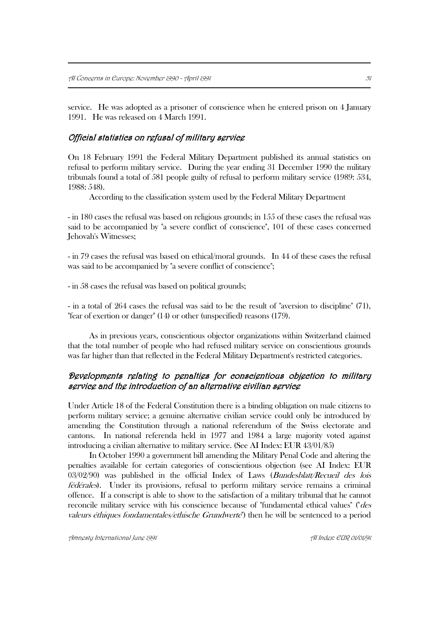service. He was adopted as a prisoner of conscience when he entered prison on 4 January 1991. He was released on 4 March 1991.

### Official statistics on refusal of military service

On 18 February 1991 the Federal Military Department published its annual statistics on refusal to perform military service. During the year ending 31 December 1990 the military tribunals found a total of 581 people guilty of refusal to perform military service (1989: 534, 1988: 548).

According to the classification system used by the Federal Military Department

- in 180 cases the refusal was based on religious grounds; in 155 of these cases the refusal was said to be accompanied by "a severe conflict of conscience", 101 of these cases concerned Jehovah's Witnesses;

- in 79 cases the refusal was based on ethical/moral grounds. In 44 of these cases the refusal was said to be accompanied by "a severe conflict of conscience";

- in 58 cases the refusal was based on political grounds;

- in a total of 264 cases the refusal was said to be the result of "aversion to discipline" (71), "fear of exertion or danger" (14) or other (unspecified) reasons (179).

As in previous years, conscientious objector organizations within Switzerland claimed that the total number of people who had refused military service on conscientious grounds was far higher than that reflected in the Federal Military Department's restricted categories.

# Developments relating to penalties for conscientious objection to military service and the introduction of an alternative civilian service

Under Article 18 of the Federal Constitution there is a binding obligation on male citizens to perform military service; a genuine alternative civilian service could only be introduced by amending the Constitution through a national referendum of the Swiss electorate and cantons. In national referenda held in 1977 and 1984 a large majority voted against introducing a civilian alternative to military service. (See AI Index: EUR 43/01/85)

In October 1990 a government bill amending the Military Penal Code and altering the penalties available for certain categories of conscientious objection (see AI Index: EUR  $03/02/90$ ) was published in the official Index of Laws (*Bundesblatt/Recueil des lois* fédérales). Under its provisions, refusal to perform military service remains a criminal offence. If a conscript is able to show to the satisfaction of a military tribunal that he cannot reconcile military service with his conscience because of "fundamental ethical values" ("*des* valeurs éthiques fondamentales/ethische Grundwerte") then he will be sentenced to a period

Amnesty International June 1991 AI Index: EUR 01/01/91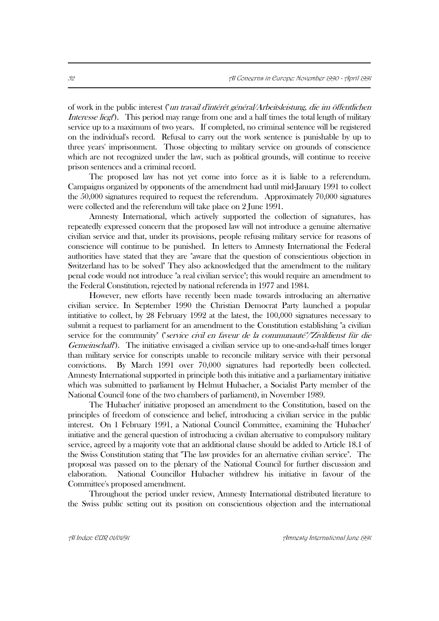of work in the public interest ("un travail d'intérêt général/Arbeitsleistung, die im öffentlichen Interesse liegt"). This period may range from one and a half times the total length of military service up to a maximum of two years. If completed, no criminal sentence will be registered on the individual's record. Refusal to carry out the work sentence is punishable by up to three years' imprisonment. Those objecting to military service on grounds of conscience which are not recognized under the law, such as political grounds, will continue to receive prison sentences and a criminal record.

The proposed law has not yet come into force as it is liable to a referendum. Campaigns organized by opponents of the amendment had until mid-January 1991 to collect the 50,000 signatures required to request the referendum. Approximately 70,000 signatures were collected and the referendum will take place on 2 June 1991.

Amnesty International, which actively supported the collection of signatures, has repeatedly expressed concern that the proposed law will not introduce a genuine alternative civilian service and that, under its provisions, people refusing military service for reasons of conscience will continue to be punished. In letters to Amnesty International the Federal authorities have stated that they are "aware that the question of conscientious objection in Switzerland has to be solved" They also acknowledged that the amendment to the military penal code would not introduce "a real civilian service"; this would require an amendment to the Federal Constitution, rejected by national referenda in 1977 and 1984.

However, new efforts have recently been made towards introducing an alternative civilian service. In September 1990 the Christian Democrat Party launched a popular intitiative to collect, by 28 February 1992 at the latest, the 100,000 signatures necessary to submit a request to parliament for an amendment to the Constitution establishing "a civilian service for the community" ("*service civil en faveur de la communauté"*/"Zivildienst für die Gemeinschaft"). The initiative envisaged a civilian service up to one-and-a-half times longer than military service for conscripts unable to reconcile military service with their personal convictions. By March 1991 over 70,000 signatures had reportedly been collected. Amnesty International supported in principle both this initiative and a parliamentary initiative which was submitted to parliament by Helmut Hubacher, a Socialist Party member of the National Council (one of the two chambers of parliament), in November 1989.

The 'Hubacher' initiative proposed an amendment to the Constitution, based on the principles of freedom of conscience and belief, introducing a civilian service in the public interest. On 1 February 1991, a National Council Committee, examining the 'Hubacher' initiative and the general question of introducing a civilian alternative to compulsory military service, agreed by a majority vote that an additional clause should be added to Article 18.1 of the Swiss Constitution stating that "The law provides for an alternative civilian service". The proposal was passed on to the plenary of the National Council for further discussion and elaboration. National Councillor Hubacher withdrew his initiative in favour of the Committee's proposed amendment.

Throughout the period under review, Amnesty International distributed literature to the Swiss public setting out its position on conscientious objection and the international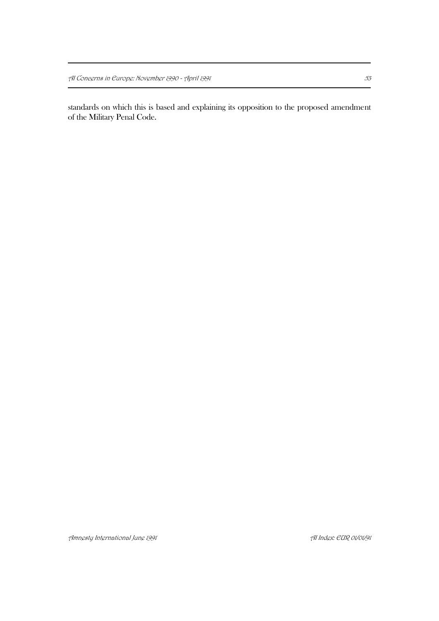standards on which this is based and explaining its opposition to the proposed amendment of the Military Penal Code.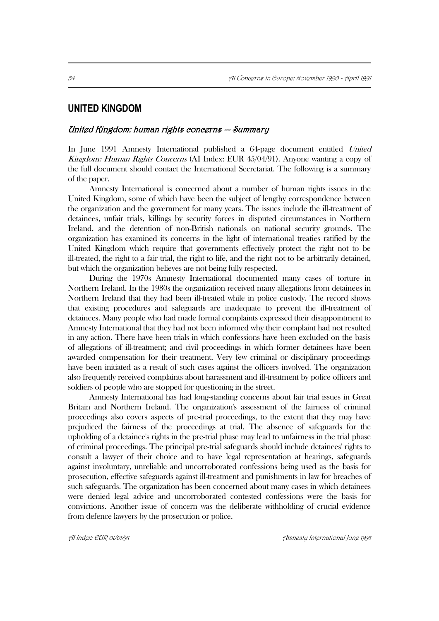# **UNITED KINGDOM**

### United Kingdom: human rights concerns -- Summary

In June 1991 Amnesty International published a 64-page document entitled United Kingdom: Human Rights Concerns (AI Index: EUR 45/04/91). Anyone wanting a copy of the full document should contact the International Secretariat. The following is a summary of the paper.

Amnesty International is concerned about a number of human rights issues in the United Kingdom, some of which have been the subject of lengthy correspondence between the organization and the government for many years. The issues include the ill-treatment of detainees, unfair trials, killings by security forces in disputed circumstances in Northern Ireland, and the detention of non-British nationals on national security grounds. The organization has examined its concerns in the light of international treaties ratified by the United Kingdom which require that governments effectively protect the right not to be ill-treated, the right to a fair trial, the right to life, and the right not to be arbitrarily detained, but which the organization believes are not being fully respected.

During the 1970s Amnesty International documented many cases of torture in Northern Ireland. In the 1980s the organization received many allegations from detainees in Northern Ireland that they had been ill-treated while in police custody. The record shows that existing procedures and safeguards are inadequate to prevent the ill-treatment of detainees. Many people who had made formal complaints expressed their disappointment to Amnesty International that they had not been informed why their complaint had not resulted in any action. There have been trials in which confessions have been excluded on the basis of allegations of ill-treatment; and civil proceedings in which former detainees have been awarded compensation for their treatment. Very few criminal or disciplinary proceedings have been initiated as a result of such cases against the officers involved. The organization also frequently received complaints about harassment and ill-treatment by police officers and soldiers of people who are stopped for questioning in the street.

Amnesty International has had long-standing concerns about fair trial issues in Great Britain and Northern Ireland. The organization's assessment of the fairness of criminal proceedings also covers aspects of pre-trial proceedings, to the extent that they may have prejudiced the fairness of the proceedings at trial. The absence of safeguards for the upholding of a detainee's rights in the pre-trial phase may lead to unfairness in the trial phase of criminal proceedings. The principal pre-trial safeguards should include detainees' rights to consult a lawyer of their choice and to have legal representation at hearings, safeguards against involuntary, unreliable and uncorroborated confessions being used as the basis for prosecution, effective safeguards against ill-treatment and punishments in law for breaches of such safeguards. The organization has been concerned about many cases in which detainees were denied legal advice and uncorroborated contested confessions were the basis for convictions. Another issue of concern was the deliberate withholding of crucial evidence from defence lawyers by the prosecution or police.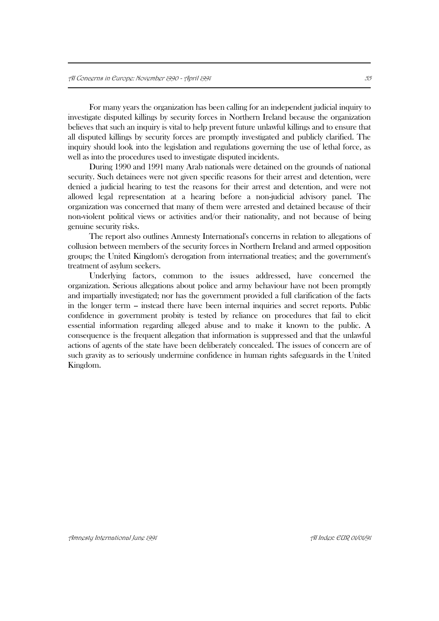For many years the organization has been calling for an independent judicial inquiry to investigate disputed killings by security forces in Northern Ireland because the organization believes that such an inquiry is vital to help prevent future unlawful killings and to ensure that all disputed killings by security forces are promptly investigated and publicly clarified. The inquiry should look into the legislation and regulations governing the use of lethal force, as well as into the procedures used to investigate disputed incidents.

During 1990 and 1991 many Arab nationals were detained on the grounds of national security. Such detainees were not given specific reasons for their arrest and detention, were denied a judicial hearing to test the reasons for their arrest and detention, and were not allowed legal representation at a hearing before a non-judicial advisory panel. The organization was concerned that many of them were arrested and detained because of their non-violent political views or activities and/or their nationality, and not because of being genuine security risks.

The report also outlines Amnesty International's concerns in relation to allegations of collusion between members of the security forces in Northern Ireland and armed opposition groups; the United Kingdom's derogation from international treaties; and the government's treatment of asylum seekers.

Underlying factors, common to the issues addressed, have concerned the organization. Serious allegations about police and army behaviour have not been promptly and impartially investigated; nor has the government provided a full clarification of the facts in the longer term – instead there have been internal inquiries and secret reports. Public confidence in government probity is tested by reliance on procedures that fail to elicit essential information regarding alleged abuse and to make it known to the public. A consequence is the frequent allegation that information is suppressed and that the unlawful actions of agents of the state have been deliberately concealed. The issues of concern are of such gravity as to seriously undermine confidence in human rights safeguards in the United Kingdom.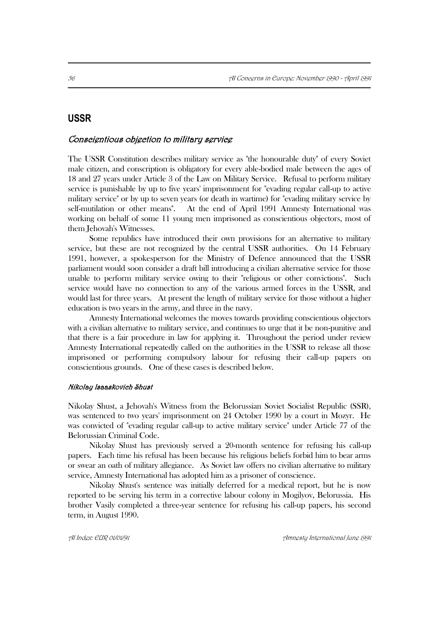# **USSR**

### Conscientious objection to military service

The USSR Constitution describes military service as "the honourable duty" of every Soviet male citizen, and conscription is obligatory for every able-bodied male between the ages of 18 and 27 years under Article 3 of the Law on Military Service. Refusal to perform military service is punishable by up to five years' imprisonment for "evading regular call-up to active military service" or by up to seven years (or death in wartime) for "evading military service by self-mutilation or other means". At the end of April 1991 Amnesty International was working on behalf of some 11 young men imprisoned as conscientious objectors, most of them Jehovah's Witnesses.

Some republics have introduced their own provisions for an alternative to military service, but these are not recognized by the central USSR authorities. On 14 February 1991, however, a spokesperson for the Ministry of Defence announced that the USSR parliament would soon consider a draft bill introducing a civilian alternative service for those unable to perform military service owing to their "religious or other convictions". Such service would have no connection to any of the various armed forces in the USSR, and would last for three years. At present the length of military service for those without a higher education is two years in the army, and three in the navy.

Amnesty International welcomes the moves towards providing conscientious objectors with a civilian alternative to military service, and continues to urge that it be non-punitive and that there is a fair procedure in law for applying it. Throughout the period under review Amnesty International repeatedly called on the authorities in the USSR to release all those imprisoned or performing compulsory labour for refusing their call-up papers on conscientious grounds. One of these cases is described below.

#### Nikolay Isaaskovich Shust

Nikolay Shust, a Jehovah's Witness from the Belorussian Soviet Socialist Republic (SSR), was sentenced to two years' imprisonment on 24 October 1990 by a court in Mozyr. He was convicted of "evading regular call-up to active military service" under Article 77 of the Belorussian Criminal Code.

Nikolay Shust has previously served a 20-month sentence for refusing his call-up papers. Each time his refusal has been because his religious beliefs forbid him to bear arms or swear an oath of military allegiance. As Soviet law offers no civilian alternative to military service, Amnesty International has adopted him as a prisoner of conscience.

Nikolay Shust's sentence was initially deferred for a medical report, but he is now reported to be serving his term in a corrective labour colony in Mogilyov, Belorussia. His brother Vasily completed a three-year sentence for refusing his call-up papers, his second term, in August 1990.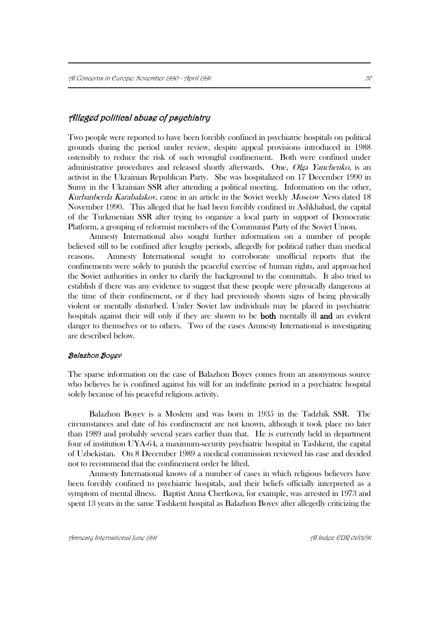### Alleged political abuse of psychiatry

Two people were reported to have been forcibly confined in psychiatric hospitals on political grounds during the period under review, despite appeal provisions introduced in 1988 ostensibly to reduce the risk of such wrongful confinement. Both were confined under administrative procedures and released shortly afterwards. One, *Olga Yanchenko*, is an activist in the Ukrainian Republican Party. She was hospitalized on 17 December 1990 in Sumy in the Ukrainian SSR after attending a political meeting. Information on the other, Kurbanberda Karabalakov, came in an article in the Soviet weekly Moscow News dated 18 November 1990. This alleged that he had been forcibly confined in Ashkhabad, the capital of the Turkmenian SSR after trying to organize a local party in support of Democratic Platform, a grouping of reformist members of the Communist Party of the Soviet Union.

Amnesty International also sought further information on a number of people believed still to be confined after lengthy periods, allegedly for political rather than medical reasons. Amnesty International sought to corroborate unofficial reports that the confinements were solely to punish the peaceful exercise of human rights, and approached the Soviet authorities in order to clarify the background to the committals. It also tried to establish if there was any evidence to suggest that these people were physically dangerous at the time of their confinement, or if they had previously shown signs of being physically violent or mentally disturbed. Under Soviet law individuals may be placed in psychiatric hospitals against their will only if they are shown to be both mentally ill and an evident danger to themselves or to others. Two of the cases Amnesty International is investigating are described below.

#### Balazhon Boyev

The sparse information on the case of Balazhon Boyev comes from an anonymous source who believes he is confined against his will for an indefinite period in a psychiatric hospital solely because of his peaceful religious activity.

Balazhon Boyev is a Moslem and was born in 1935 in the Tadzhik SSR. The circumstances and date of his confinement are not known, although it took place no later than 1989 and probably several years earlier than that. He is currently held in department four of institution UYA-64, a maximum-security psychiatric hospital in Tashkent, the capital of Uzbekistan. On 8 December 1989 a medical commission reviewed his case and decided not to recommend that the confinement order be lifted.

Amnesty International knows of a number of cases in which religious believers have been forcibly confined to psychiatric hospitals, and their beliefs officially interpreted as a symptom of mental illness. Baptist Anna Chertkova, for example, was arrested in 1973 and spent 13 years in the same Tashkent hospital as Balazhon Boyev after allegedly criticizing the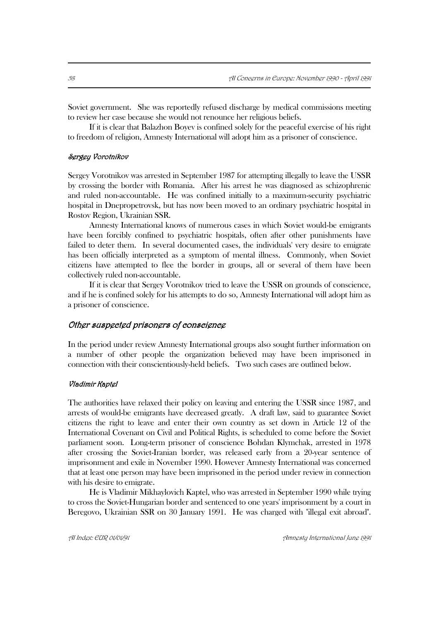Soviet government. She was reportedly refused discharge by medical commissions meeting to review her case because she would not renounce her religious beliefs.

If it is clear that Balazhon Boyev is confined solely for the peaceful exercise of his right to freedom of religion, Amnesty International will adopt him as a prisoner of conscience.

#### Sergey Vorotnikov

Sergey Vorotnikov was arrested in September 1987 for attempting illegally to leave the USSR by crossing the border with Romania. After his arrest he was diagnosed as schizophrenic and ruled non-accountable. He was confined initially to a maximum-security psychiatric hospital in Dnepropetrovsk, but has now been moved to an ordinary psychiatric hospital in Rostov Region, Ukrainian SSR.

Amnesty International knows of numerous cases in which Soviet would-be emigrants have been forcibly confined to psychiatric hospitals, often after other punishments have failed to deter them. In several documented cases, the individuals' very desire to emigrate has been officially interpreted as a symptom of mental illness. Commonly, when Soviet citizens have attempted to flee the border in groups, all or several of them have been collectively ruled non-accountable.

If it is clear that Sergey Vorotnikov tried to leave the USSR on grounds of conscience, and if he is confined solely for his attempts to do so, Amnesty International will adopt him as a prisoner of conscience.

#### Other suspected prisoners of conscience

In the period under review Amnesty International groups also sought further information on a number of other people the organization believed may have been imprisoned in connection with their conscientiously-held beliefs. Two such cases are outlined below.

#### Vladimir Kaptel

The authorities have relaxed their policy on leaving and entering the USSR since 1987, and arrests of would-be emigrants have decreased greatly. A draft law, said to guarantee Soviet citizens the right to leave and enter their own country as set down in Article 12 of the International Covenant on Civil and Political Rights, is scheduled to come before the Soviet parliament soon. Long-term prisoner of conscience Bohdan Klymchak, arrested in 1978 after crossing the Soviet-Iranian border, was released early from a 20-year sentence of imprisonment and exile in November 1990. However Amnesty International was concerned that at least one person may have been imprisoned in the period under review in connection with his desire to emigrate.

He is Vladimir Mikhaylovich Kaptel, who was arrested in September 1990 while trying to cross the Soviet-Hungarian border and sentenced to one years' imprisonment by a court in Beregovo, Ukrainian SSR on 30 January 1991. He was charged with "illegal exit abroad".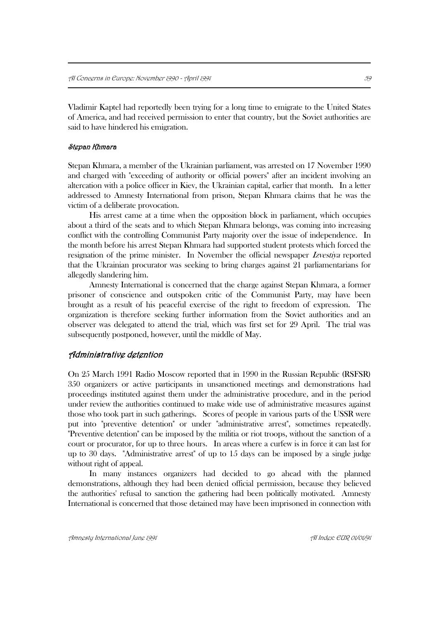Vladimir Kaptel had reportedly been trying for a long time to emigrate to the United States of America, and had received permission to enter that country, but the Soviet authorities are said to have hindered his emigration.

#### Stepan Khmara

Stepan Khmara, a member of the Ukrainian parliament, was arrested on 17 November 1990 and charged with "exceeding of authority or official powers" after an incident involving an altercation with a police officer in Kiev, the Ukrainian capital, earlier that month. In a letter addressed to Amnesty International from prison, Stepan Khmara claims that he was the victim of a deliberate provocation.

His arrest came at a time when the opposition block in parliament, which occupies about a third of the seats and to which Stepan Khmara belongs, was coming into increasing conflict with the controlling Communist Party majority over the issue of independence. In the month before his arrest Stepan Khmara had supported student protests which forced the resignation of the prime minister. In November the official newspaper Izvestiya reported that the Ukrainian procurator was seeking to bring charges against 21 parliamentarians for allegedly slandering him.

Amnesty International is concerned that the charge against Stepan Khmara, a former prisoner of conscience and outspoken critic of the Communist Party, may have been brought as a result of his peaceful exercise of the right to freedom of expression. The organization is therefore seeking further information from the Soviet authorities and an observer was delegated to attend the trial, which was first set for 29 April. The trial was subsequently postponed, however, until the middle of May.

### Administrative detention

On 25 March 1991 Radio Moscow reported that in 1990 in the Russian Republic (RSFSR) 350 organizers or active participants in unsanctioned meetings and demonstrations had proceedings instituted against them under the administrative procedure, and in the period under review the authorities continued to make wide use of administrative measures against those who took part in such gatherings. Scores of people in various parts of the USSR were put into "preventive detention" or under "administrative arrest", sometimes repeatedly. "Preventive detention" can be imposed by the militia or riot troops, without the sanction of a court or procurator, for up to three hours. In areas where a curfew is in force it can last for up to 30 days. "Administrative arrest" of up to 15 days can be imposed by a single judge without right of appeal.

In many instances organizers had decided to go ahead with the planned demonstrations, although they had been denied official permission, because they believed the authorities' refusal to sanction the gathering had been politically motivated. Amnesty International is concerned that those detained may have been imprisoned in connection with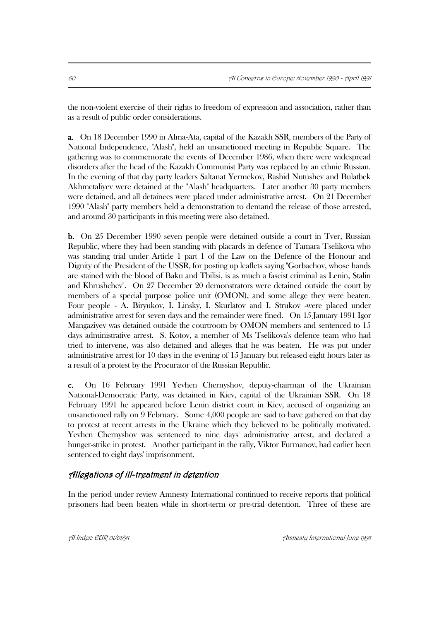the non-violent exercise of their rights to freedom of expression and association, rather than as a result of public order considerations.

a. On 18 December 1990 in Alma-Ata, capital of the Kazakh SSR, members of the Party of National Independence, "Alash", held an unsanctioned meeting in Republic Square. The gathering was to commemorate the events of December 1986, when there were widespread disorders after the head of the Kazakh Communist Party was replaced by an ethnic Russian. In the evening of that day party leaders Saltanat Yermekov, Rashid Nutushev and Bulatbek Akhmetaliyev were detained at the "Alash" headquarters. Later another 30 party members were detained, and all detainees were placed under administrative arrest. On 21 December 1990 "Alash" party members held a demonstration to demand the release of those arrested, and around 30 participants in this meeting were also detained.

b. On 25 December 1990 seven people were detained outside a court in Tver, Russian Republic, where they had been standing with placards in defence of Tamara Tselikova who was standing trial under Article 1 part 1 of the Law on the Defence of the Honour and Dignity of the President of the USSR, for posting up leaflets saying "Gorbachov, whose hands are stained with the blood of Baku and Tbilisi, is as much a fascist criminal as Lenin, Stalin and Khrushchev". On 27 December 20 demonstrators were detained outside the court by members of a special purpose police unit (OMON), and some allege they were beaten. Four people - A. Biryukov, I. Linsky, I. Skurlatov and I. Strukov -were placed under administrative arrest for seven days and the remainder were fined. On 15 January 1991 Igor Mangaziyev was detained outside the courtroom by OMON members and sentenced to 15 days administrative arrest. S. Kotov, a member of Ms Tselikova's defence team who had tried to intervene, was also detained and alleges that he was beaten. He was put under administrative arrest for 10 days in the evening of 15 January but released eight hours later as a result of a protest by the Procurator of the Russian Republic.

c. On 16 February 1991 Yevhen Chernyshov, deputy-chairman of the Ukrainian National-Democratic Party, was detained in Kiev, capital of the Ukrainian SSR. On 18 February 1991 he appeared before Lenin district court in Kiev, accused of organizing an unsanctioned rally on 9 February. Some 4,000 people are said to have gathered on that day to protest at recent arrests in the Ukraine which they believed to be politically motivated. Yevhen Chernyshov was sentenced to nine days' administrative arrest, and declared a hunger-strike in protest. Another participant in the rally, Viktor Furmanov, had earlier been sentenced to eight days' imprisonment.

### Allegations of ill-treatment in detention

In the period under review Amnesty International continued to receive reports that political prisoners had been beaten while in short-term or pre-trial detention. Three of these are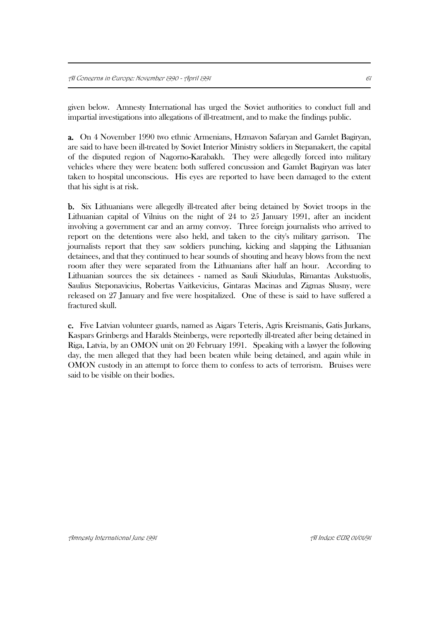given below. Amnesty International has urged the Soviet authorities to conduct full and impartial investigations into allegations of ill-treatment, and to make the findings public.

a. On 4 November 1990 two ethnic Armenians, Hzmavon Safaryan and Gamlet Bagiryan, are said to have been ill-treated by Soviet Interior Ministry soldiers in Stepanakert, the capital of the disputed region of Nagorno-Karabakh. They were allegedly forced into military vehicles where they were beaten: both suffered concussion and Gamlet Bagiryan was later taken to hospital unconscious. His eyes are reported to have been damaged to the extent that his sight is at risk.

b. Six Lithuanians were allegedly ill-treated after being detained by Soviet troops in the Lithuanian capital of Vilnius on the night of 24 to 25 January 1991, after an incident involving a government car and an army convoy. Three foreign journalists who arrived to report on the detentions were also held, and taken to the city's military garrison. The journalists report that they saw soldiers punching, kicking and slapping the Lithuanian detainees, and that they continued to hear sounds of shouting and heavy blows from the next room after they were separated from the Lithuanians after half an hour. According to Lithuanian sources the six detainees - named as Sauli Skiudulas, Rimantas Aukstuolis, Saulius Steponavicius, Robertas Vaitkevicius, Gintaras Macinas and Zigmas Slusny, were released on 27 January and five were hospitalized. One of these is said to have suffered a fractured skull.

c. Five Latvian volunteer guards, named as Aigars Teteris, Agris Kreismanis, Gatis Jurkans, Kaspars Grinbergs and Haralds Steinbergs, were reportedly ill-treated after being detained in Riga, Latvia, by an OMON unit on 20 February 1991. Speaking with a lawyer the following day, the men alleged that they had been beaten while being detained, and again while in OMON custody in an attempt to force them to confess to acts of terrorism. Bruises were said to be visible on their bodies.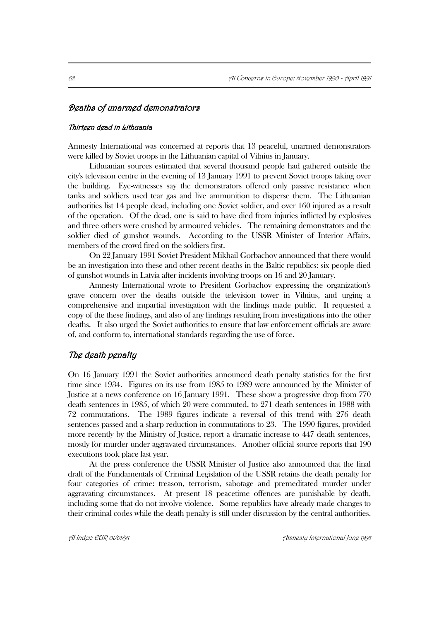### Deaths of unarmed demonstrators

#### Thirteen dead in Lithuania

Amnesty International was concerned at reports that 13 peaceful, unarmed demonstrators were killed by Soviet troops in the Lithuanian capital of Vilnius in January.

Lithuanian sources estimated that several thousand people had gathered outside the city's television centre in the evening of 13 January 1991 to prevent Soviet troops taking over the building. Eye-witnesses say the demonstrators offered only passive resistance when tanks and soldiers used tear gas and live ammunition to disperse them. The Lithuanian authorities list 14 people dead, including one Soviet soldier, and over 160 injured as a result of the operation. Of the dead, one is said to have died from injuries inflicted by explosives and three others were crushed by armoured vehicles. The remaining demonstrators and the soldier died of gunshot wounds. According to the USSR Minister of Interior Affairs, members of the crowd fired on the soldiers first.

On 22 January 1991 Soviet President Mikhail Gorbachov announced that there would be an investigation into these and other recent deaths in the Baltic republics: six people died of gunshot wounds in Latvia after incidents involving troops on 16 and 20 January.

Amnesty International wrote to President Gorbachov expressing the organization's grave concern over the deaths outside the television tower in Vilnius, and urging a comprehensive and impartial investigation with the findings made public. It requested a copy of the these findings, and also of any findings resulting from investigations into the other deaths. It also urged the Soviet authorities to ensure that law enforcement officials are aware of, and conform to, international standards regarding the use of force.

### The death penalty

On 16 January 1991 the Soviet authorities announced death penalty statistics for the first time since 1934. Figures on its use from 1985 to 1989 were announced by the Minister of Justice at a news conference on 16 January 1991. These show a progressive drop from 770 death sentences in 1985, of which 20 were commuted, to 271 death sentences in 1988 with 72 commutations. The 1989 figures indicate a reversal of this trend with 276 death sentences passed and a sharp reduction in commutations to 23. The 1990 figures, provided more recently by the Ministry of Justice, report a dramatic increase to 447 death sentences, mostly for murder under aggravated circumstances. Another official source reports that 190 executions took place last year.

At the press conference the USSR Minister of Justice also announced that the final draft of the Fundamentals of Criminal Legislation of the USSR retains the death penalty for four categories of crime: treason, terrorism, sabotage and premeditated murder under aggravating circumstances. At present 18 peacetime offences are punishable by death, including some that do not involve violence. Some republics have already made changes to their criminal codes while the death penalty is still under discussion by the central authorities.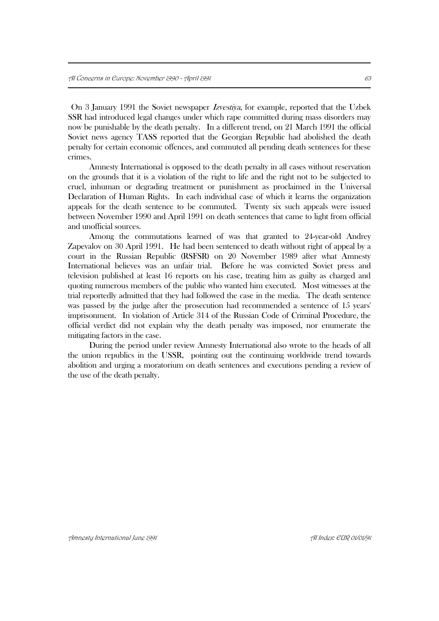On 3 January 1991 the Soviet newspaper Izvestiya, for example, reported that the Uzbek SSR had introduced legal changes under which rape committed during mass disorders may now be punishable by the death penalty. In a different trend, on 21 March 1991 the official Soviet news agency TASS reported that the Georgian Republic had abolished the death penalty for certain economic offences, and commuted all pending death sentences for these crimes.

Amnesty International is opposed to the death penalty in all cases without reservation on the grounds that it is a violation of the right to life and the right not to be subjected to cruel, inhuman or degrading treatment or punishment as proclaimed in the Universal Declaration of Human Rights. In each individual case of which it learns the organization appeals for the death sentence to be commuted. Twenty six such appeals were issued between November 1990 and April 1991 on death sentences that came to light from official and unofficial sources.

Among the commutations learned of was that granted to 24-year-old Andrey Zapevalov on 30 April 1991. He had been sentenced to death without right of appeal by a court in the Russian Republic (RSFSR) on 20 November 1989 after what Amnesty International believes was an unfair trial. Before he was convicted Soviet press and television published at least 16 reports on his case, treating him as guilty as charged and quoting numerous members of the public who wanted him executed. Most witnesses at the trial reportedly admitted that they had followed the case in the media. The death sentence was passed by the judge after the prosecution had recommended a sentence of 15 years' imprisonment. In violation of Article 314 of the Russian Code of Criminal Procedure, the official verdict did not explain why the death penalty was imposed, nor enumerate the mitigating factors in the case.

During the period under review Amnesty International also wrote to the heads of all the union republics in the USSR, pointing out the continuing worldwide trend towards abolition and urging a moratorium on death sentences and executions pending a review of the use of the death penalty.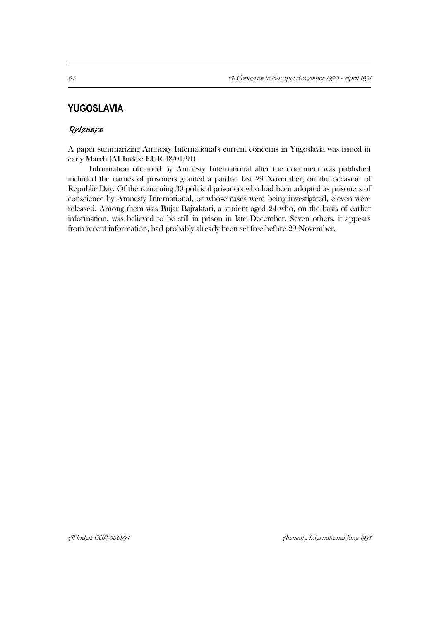# **YUGOSLAVIA**

### Releases

A paper summarizing Amnesty International's current concerns in Yugoslavia was issued in early March (AI Index: EUR 48/01/91).

Information obtained by Amnesty International after the document was published included the names of prisoners granted a pardon last 29 November, on the occasion of Republic Day. Of the remaining 30 political prisoners who had been adopted as prisoners of conscience by Amnesty International, or whose cases were being investigated, eleven were released. Among them was Bujar Bajraktari, a student aged 24 who, on the basis of earlier information, was believed to be still in prison in late December. Seven others, it appears from recent information, had probably already been set free before 29 November.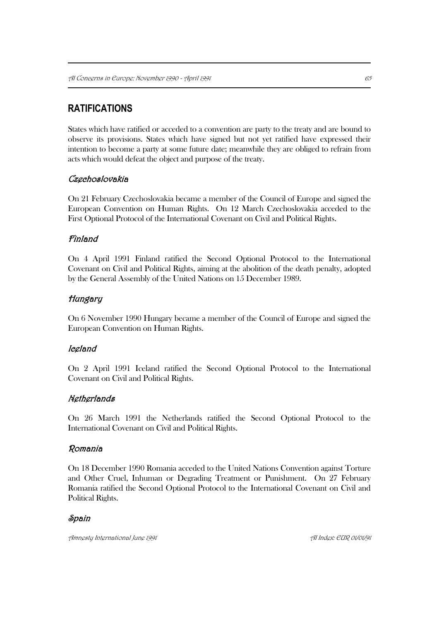# **RATIFICATIONS**

States which have ratified or acceded to a convention are party to the treaty and are bound to observe its provisions. States which have signed but not yet ratified have expressed their intention to become a party at some future date; meanwhile they are obliged to refrain from acts which would defeat the object and purpose of the treaty.

# **Czechoslovakia**

On 21 February Czechoslovakia became a member of the Council of Europe and signed the European Convention on Human Rights. On 12 March Czechoslovakia acceded to the First Optional Protocol of the International Covenant on Civil and Political Rights.

# Finland

On 4 April 1991 Finland ratified the Second Optional Protocol to the International Covenant on Civil and Political Rights, aiming at the abolition of the death penalty, adopted by the General Assembly of the United Nations on 15 December 1989.

# **Hungary**

On 6 November 1990 Hungary became a member of the Council of Europe and signed the European Convention on Human Rights.

# Iceland

On 2 April 1991 Iceland ratified the Second Optional Protocol to the International Covenant on Civil and Political Rights.

# Netherlands

On 26 March 1991 the Netherlands ratified the Second Optional Protocol to the International Covenant on Civil and Political Rights.

### Romania

On 18 December 1990 Romania acceded to the United Nations Convention against Torture and Other Cruel, Inhuman or Degrading Treatment or Punishment. On 27 February Romania ratified the Second Optional Protocol to the International Covenant on Civil and Political Rights.

### Spain

Amnesty International June 1991 AI Index: EUR 01/01/91